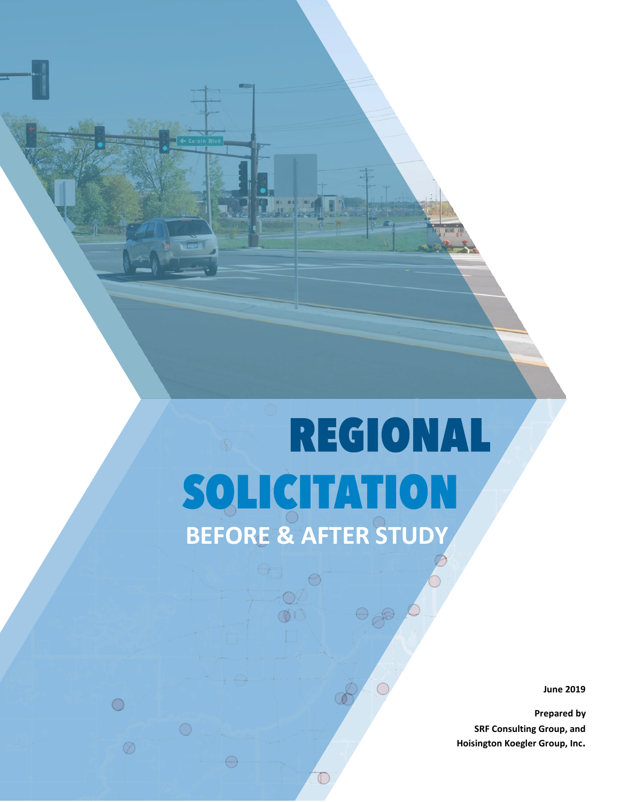# **REGIONAL BEFORE & AFTER STUDY**

 $\mathbb{C}$ 

 $\bigcirc$ 

 $\oslash$ 

 $\ominus$ 

**June 2019**

**Prepared by SRF Consulting Group, and Hoisington Koegler Group, Inc.**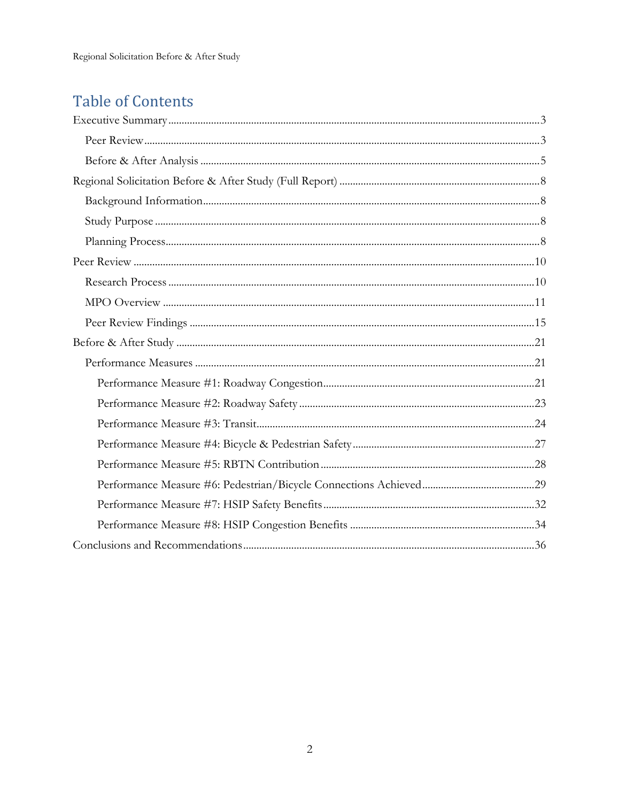# **Table of Contents**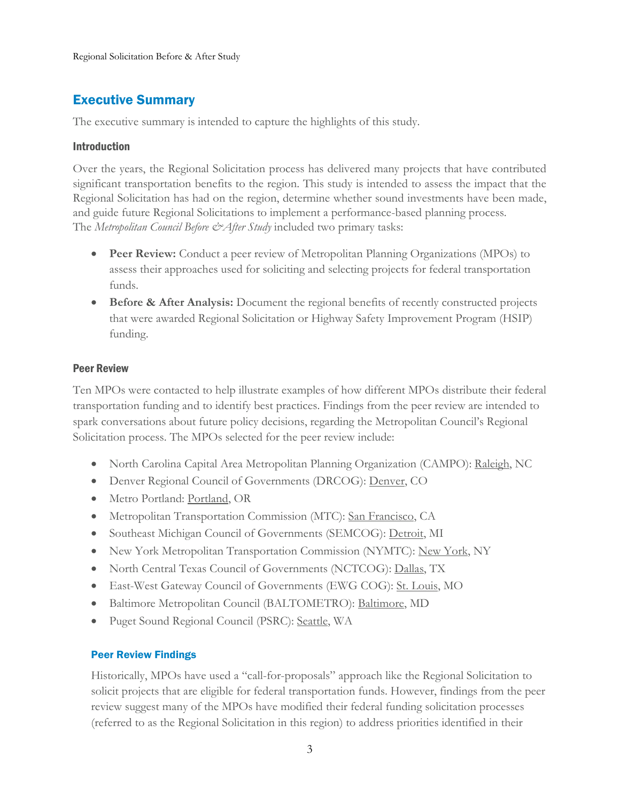# <span id="page-2-0"></span>Executive Summary

The executive summary is intended to capture the highlights of this study.

# Introduction

Over the years, the Regional Solicitation process has delivered many projects that have contributed significant transportation benefits to the region. This study is intended to assess the impact that the Regional Solicitation has had on the region, determine whether sound investments have been made, and guide future Regional Solicitations to implement a performance-based planning process. The *Metropolitan Council Before & After Study* included two primary tasks:

- **Peer Review:** Conduct a peer review of Metropolitan Planning Organizations (MPOs) to assess their approaches used for soliciting and selecting projects for federal transportation funds.
- **Before & After Analysis:** Document the regional benefits of recently constructed projects that were awarded Regional Solicitation or Highway Safety Improvement Program (HSIP) funding.

# <span id="page-2-1"></span>Peer Review

Ten MPOs were contacted to help illustrate examples of how different MPOs distribute their federal transportation funding and to identify best practices. Findings from the peer review are intended to spark conversations about future policy decisions, regarding the Metropolitan Council's Regional Solicitation process. The MPOs selected for the peer review include:

- North Carolina Capital Area Metropolitan Planning Organization (CAMPO): Raleigh, NC
- Denver Regional Council of Governments (DRCOG): Denver, CO
- Metro Portland: Portland, OR
- Metropolitan Transportation Commission (MTC): San Francisco, CA
- Southeast Michigan Council of Governments (SEMCOG): Detroit, MI
- New York Metropolitan Transportation Commission (NYMTC): New York, NY
- North Central Texas Council of Governments (NCTCOG): Dallas, TX
- East-West Gateway Council of Governments (EWG COG): St. Louis, MO
- Baltimore Metropolitan Council (BALTOMETRO): Baltimore, MD
- Puget Sound Regional Council (PSRC): Seattle, WA

# Peer Review Findings

Historically, MPOs have used a "call-for-proposals" approach like the Regional Solicitation to solicit projects that are eligible for federal transportation funds. However, findings from the peer review suggest many of the MPOs have modified their federal funding solicitation processes (referred to as the Regional Solicitation in this region) to address priorities identified in their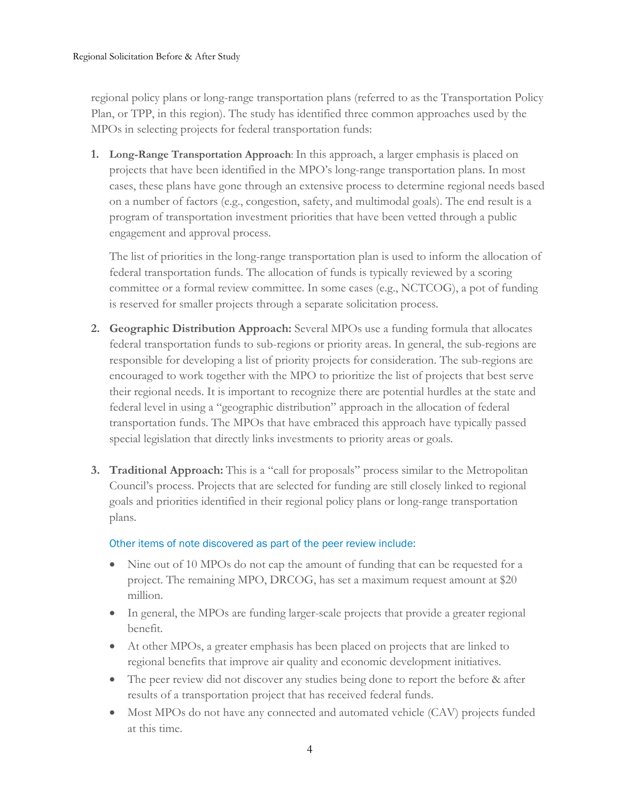regional policy plans or long-range transportation plans (referred to as the Transportation Policy Plan, or TPP, in this region). The study has identified three common approaches used by the MPOs in selecting projects for federal transportation funds:

**1. Long-Range Transportation Approach**: In this approach, a larger emphasis is placed on projects that have been identified in the MPO's long-range transportation plans. In most cases, these plans have gone through an extensive process to determine regional needs based on a number of factors (e.g., congestion, safety, and multimodal goals). The end result is a program of transportation investment priorities that have been vetted through a public engagement and approval process.

The list of priorities in the long-range transportation plan is used to inform the allocation of federal transportation funds. The allocation of funds is typically reviewed by a scoring committee or a formal review committee. In some cases (e.g., NCTCOG), a pot of funding is reserved for smaller projects through a separate solicitation process.

- **2. Geographic Distribution Approach:** Several MPOs use a funding formula that allocates federal transportation funds to sub-regions or priority areas. In general, the sub-regions are responsible for developing a list of priority projects for consideration. The sub-regions are encouraged to work together with the MPO to prioritize the list of projects that best serve their regional needs. It is important to recognize there are potential hurdles at the state and federal level in using a "geographic distribution" approach in the allocation of federal transportation funds. The MPOs that have embraced this approach have typically passed special legislation that directly links investments to priority areas or goals.
- **3. Traditional Approach:** This is a "call for proposals" process similar to the Metropolitan Council's process. Projects that are selected for funding are still closely linked to regional goals and priorities identified in their regional policy plans or long-range transportation plans.

# Other items of note discovered as part of the peer review include:

- Nine out of 10 MPOs do not cap the amount of funding that can be requested for a project. The remaining MPO, DRCOG, has set a maximum request amount at \$20 million.
- In general, the MPOs are funding larger-scale projects that provide a greater regional benefit.
- At other MPOs, a greater emphasis has been placed on projects that are linked to regional benefits that improve air quality and economic development initiatives.
- The peer review did not discover any studies being done to report the before & after results of a transportation project that has received federal funds.
- Most MPOs do not have any connected and automated vehicle (CAV) projects funded at this time.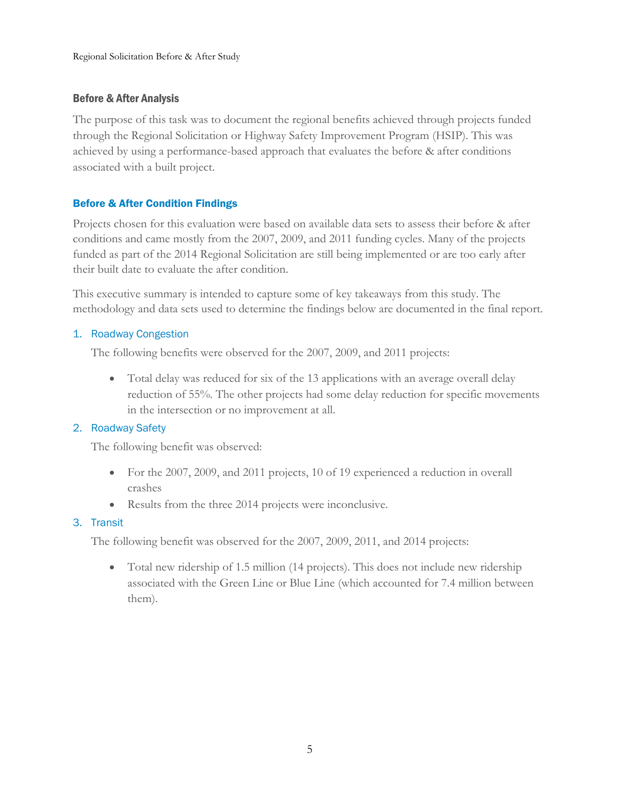# <span id="page-4-0"></span>Before & After Analysis

The purpose of this task was to document the regional benefits achieved through projects funded through the Regional Solicitation or Highway Safety Improvement Program (HSIP). This was achieved by using a performance-based approach that evaluates the before & after conditions associated with a built project.

# Before & After Condition Findings

Projects chosen for this evaluation were based on available data sets to assess their before & after conditions and came mostly from the 2007, 2009, and 2011 funding cycles. Many of the projects funded as part of the 2014 Regional Solicitation are still being implemented or are too early after their built date to evaluate the after condition.

This executive summary is intended to capture some of key takeaways from this study. The methodology and data sets used to determine the findings below are documented in the final report.

# 1. Roadway Congestion

The following benefits were observed for the 2007, 2009, and 2011 projects:

• Total delay was reduced for six of the 13 applications with an average overall delay reduction of 55%. The other projects had some delay reduction for specific movements in the intersection or no improvement at all.

# 2. Roadway Safety

The following benefit was observed:

- For the 2007, 2009, and 2011 projects, 10 of 19 experienced a reduction in overall crashes
- Results from the three 2014 projects were inconclusive.

# 3. Transit

The following benefit was observed for the 2007, 2009, 2011, and 2014 projects:

• Total new ridership of 1.5 million (14 projects). This does not include new ridership associated with the Green Line or Blue Line (which accounted for 7.4 million between them).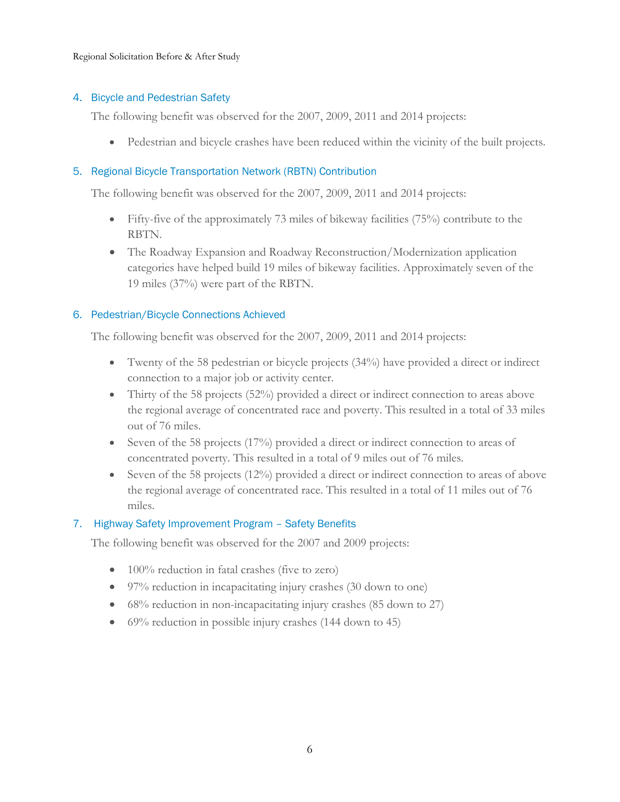Regional Solicitation Before & After Study

# 4. Bicycle and Pedestrian Safety

The following benefit was observed for the 2007, 2009, 2011 and 2014 projects:

• Pedestrian and bicycle crashes have been reduced within the vicinity of the built projects.

# 5. Regional Bicycle Transportation Network (RBTN) Contribution

The following benefit was observed for the 2007, 2009, 2011 and 2014 projects:

- Fifty-five of the approximately 73 miles of bikeway facilities (75%) contribute to the RBTN.
- The Roadway Expansion and Roadway Reconstruction/Modernization application categories have helped build 19 miles of bikeway facilities. Approximately seven of the 19 miles (37%) were part of the RBTN.

# 6. Pedestrian/Bicycle Connections Achieved

The following benefit was observed for the 2007, 2009, 2011 and 2014 projects:

- Twenty of the 58 pedestrian or bicycle projects (34%) have provided a direct or indirect connection to a major job or activity center.
- Thirty of the 58 projects (52%) provided a direct or indirect connection to areas above the regional average of concentrated race and poverty. This resulted in a total of 33 miles out of 76 miles.
- Seven of the 58 projects  $(17%)$  provided a direct or indirect connection to areas of concentrated poverty. This resulted in a total of 9 miles out of 76 miles.
- Seven of the 58 projects (12%) provided a direct or indirect connection to areas of above the regional average of concentrated race. This resulted in a total of 11 miles out of 76 miles.

# 7. Highway Safety Improvement Program – Safety Benefits

The following benefit was observed for the 2007 and 2009 projects:

- 100% reduction in fatal crashes (five to zero)
- 97% reduction in incapacitating injury crashes (30 down to one)
- 68% reduction in non-incapacitating injury crashes (85 down to 27)
- 69% reduction in possible injury crashes (144 down to 45)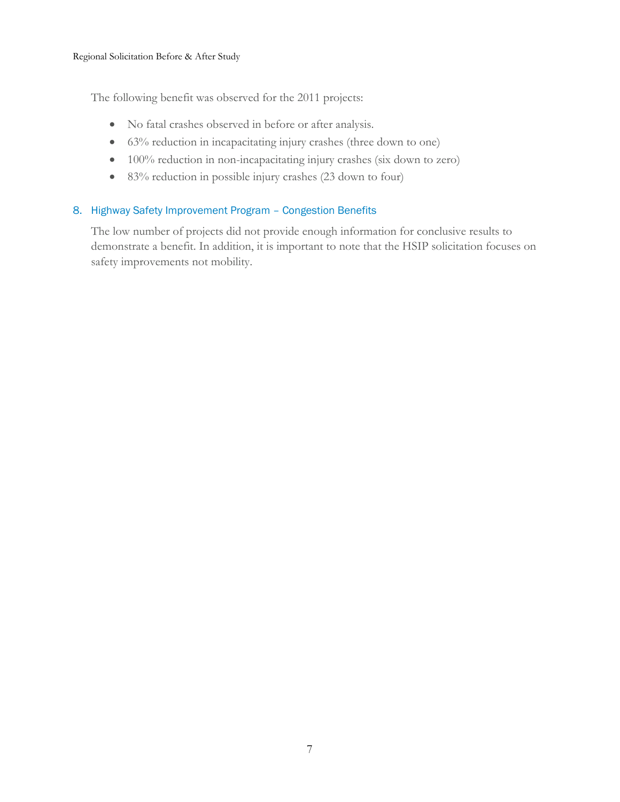The following benefit was observed for the 2011 projects:

- No fatal crashes observed in before or after analysis.
- 63% reduction in incapacitating injury crashes (three down to one)
- 100% reduction in non-incapacitating injury crashes (six down to zero)
- 83% reduction in possible injury crashes (23 down to four)

# 8. Highway Safety Improvement Program – Congestion Benefits

The low number of projects did not provide enough information for conclusive results to demonstrate a benefit. In addition, it is important to note that the HSIP solicitation focuses on safety improvements not mobility.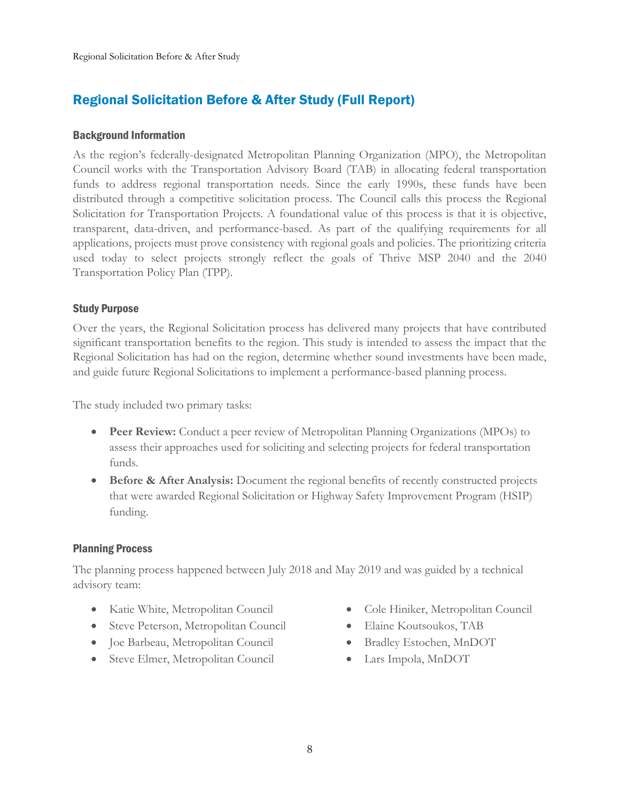# <span id="page-7-0"></span>Regional Solicitation Before & After Study (Full Report)

### <span id="page-7-1"></span>Background Information

As the region's federally-designated Metropolitan Planning Organization (MPO), the Metropolitan Council works with the Transportation Advisory Board (TAB) in allocating federal transportation funds to address regional transportation needs. Since the early 1990s, these funds have been distributed through a competitive solicitation process. The Council calls this process the Regional Solicitation for Transportation Projects. A foundational value of this process is that it is objective, transparent, data-driven, and performance-based. As part of the qualifying requirements for all applications, projects must prove consistency with regional goals and policies. The prioritizing criteria used today to select projects strongly reflect the goals of Thrive MSP 2040 and the 2040 Transportation Policy Plan (TPP).

# <span id="page-7-2"></span>Study Purpose

Over the years, the Regional Solicitation process has delivered many projects that have contributed significant transportation benefits to the region. This study is intended to assess the impact that the Regional Solicitation has had on the region, determine whether sound investments have been made, and guide future Regional Solicitations to implement a performance-based planning process.

The study included two primary tasks:

- **Peer Review:** Conduct a peer review of Metropolitan Planning Organizations (MPOs) to assess their approaches used for soliciting and selecting projects for federal transportation funds.
- **Before & After Analysis:** Document the regional benefits of recently constructed projects that were awarded Regional Solicitation or Highway Safety Improvement Program (HSIP) funding.

# <span id="page-7-3"></span>Planning Process

The planning process happened between July 2018 and May 2019 and was guided by a technical advisory team:

- Katie White, Metropolitan Council
- Steve Peterson, Metropolitan Council
- Joe Barbeau, Metropolitan Council
- Steve Elmer, Metropolitan Council
- Cole Hiniker, Metropolitan Council
- Elaine Koutsoukos, TAB
- Bradley Estochen, MnDOT
- Lars Impola, MnDOT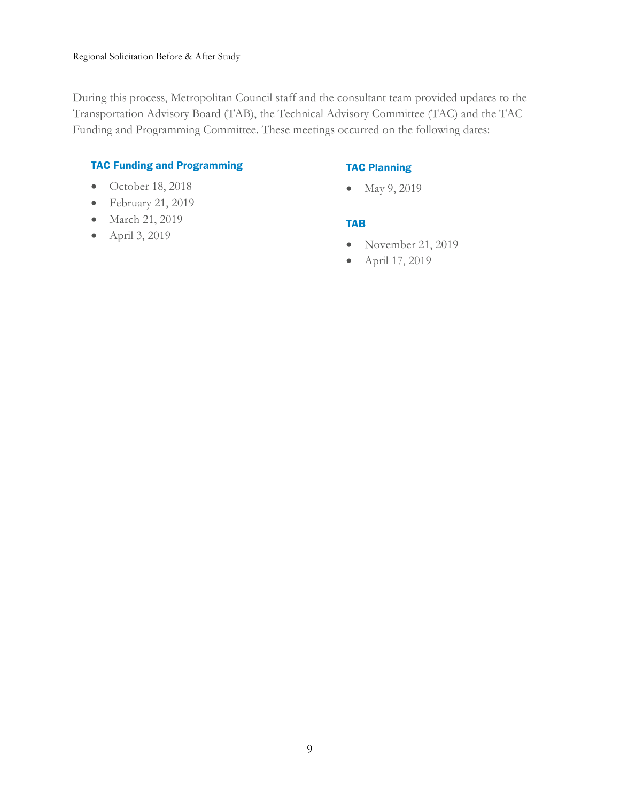During this process, Metropolitan Council staff and the consultant team provided updates to the Transportation Advisory Board (TAB), the Technical Advisory Committee (TAC) and the TAC Funding and Programming Committee. These meetings occurred on the following dates:

# TAC Funding and Programming

# • October 18, 2018

- February 21, 2019
- March 21, 2019
- April 3, 2019

# TAC Planning

• May 9, 2019

# TAB

- November 21, 2019
- April 17, 2019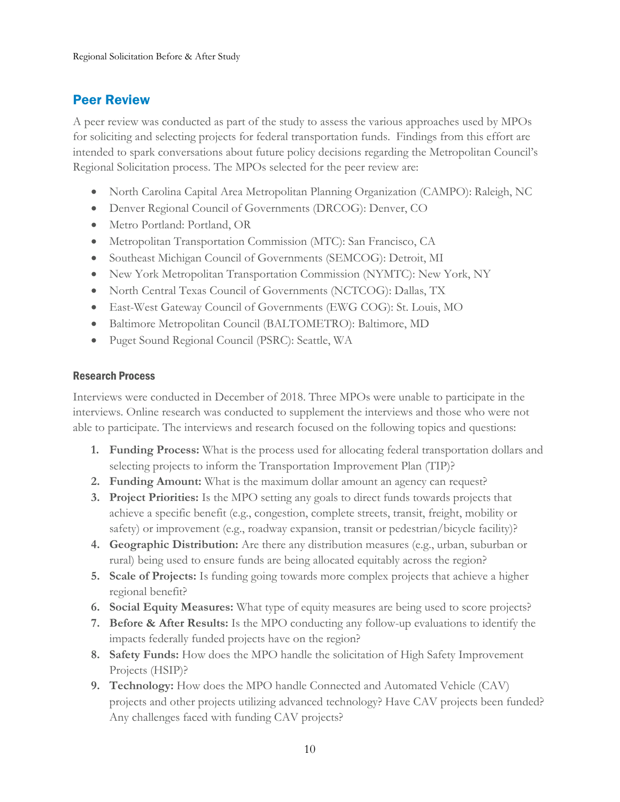# <span id="page-9-0"></span>Peer Review

A peer review was conducted as part of the study to assess the various approaches used by MPOs for soliciting and selecting projects for federal transportation funds. Findings from this effort are intended to spark conversations about future policy decisions regarding the Metropolitan Council's Regional Solicitation process. The MPOs selected for the peer review are:

- North Carolina Capital Area Metropolitan Planning Organization (CAMPO): Raleigh, NC
- Denver Regional Council of Governments (DRCOG): Denver, CO
- Metro Portland: Portland, OR
- Metropolitan Transportation Commission (MTC): San Francisco, CA
- Southeast Michigan Council of Governments (SEMCOG): Detroit, MI
- New York Metropolitan Transportation Commission (NYMTC): New York, NY
- North Central Texas Council of Governments (NCTCOG): Dallas, TX
- East-West Gateway Council of Governments (EWG COG): St. Louis, MO
- Baltimore Metropolitan Council (BALTOMETRO): Baltimore, MD
- Puget Sound Regional Council (PSRC): Seattle, WA

# <span id="page-9-1"></span>Research Process

Interviews were conducted in December of 2018. Three MPOs were unable to participate in the interviews. Online research was conducted to supplement the interviews and those who were not able to participate. The interviews and research focused on the following topics and questions:

- **1. Funding Process:** What is the process used for allocating federal transportation dollars and selecting projects to inform the Transportation Improvement Plan (TIP)?
- **2. Funding Amount:** What is the maximum dollar amount an agency can request?
- **3. Project Priorities:** Is the MPO setting any goals to direct funds towards projects that achieve a specific benefit (e.g., congestion, complete streets, transit, freight, mobility or safety) or improvement (e.g., roadway expansion, transit or pedestrian/bicycle facility)?
- **4. Geographic Distribution:** Are there any distribution measures (e.g., urban, suburban or rural) being used to ensure funds are being allocated equitably across the region?
- **5. Scale of Projects:** Is funding going towards more complex projects that achieve a higher regional benefit?
- **6. Social Equity Measures:** What type of equity measures are being used to score projects?
- **7. Before & After Results:** Is the MPO conducting any follow-up evaluations to identify the impacts federally funded projects have on the region?
- **8. Safety Funds:** How does the MPO handle the solicitation of High Safety Improvement Projects (HSIP)?
- **9. Technology:** How does the MPO handle Connected and Automated Vehicle (CAV) projects and other projects utilizing advanced technology? Have CAV projects been funded? Any challenges faced with funding CAV projects?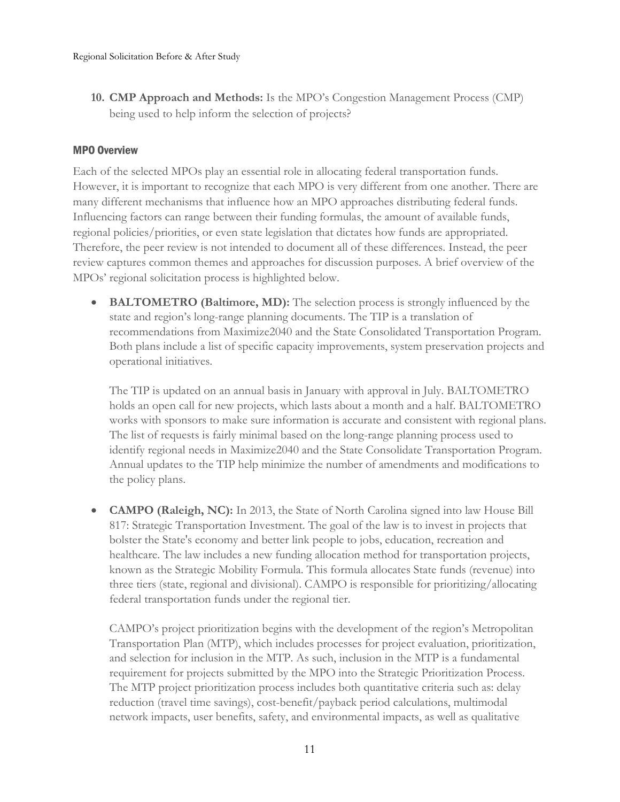**10. CMP Approach and Methods:** Is the MPO's Congestion Management Process (CMP) being used to help inform the selection of projects?

# <span id="page-10-0"></span>MPO Overview

Each of the selected MPOs play an essential role in allocating federal transportation funds. However, it is important to recognize that each MPO is very different from one another. There are many different mechanisms that influence how an MPO approaches distributing federal funds. Influencing factors can range between their funding formulas, the amount of available funds, regional policies/priorities, or even state legislation that dictates how funds are appropriated. Therefore, the peer review is not intended to document all of these differences. Instead, the peer review captures common themes and approaches for discussion purposes. A brief overview of the MPOs' regional solicitation process is highlighted below.

• **BALTOMETRO (Baltimore, MD):** The selection process is strongly influenced by the state and region's long-range planning documents. The TIP is a translation of recommendations from Maximize2040 and the State Consolidated Transportation Program. Both plans include a list of specific capacity improvements, system preservation projects and operational initiatives.

The TIP is updated on an annual basis in January with approval in July. BALTOMETRO holds an open call for new projects, which lasts about a month and a half. BALTOMETRO works with sponsors to make sure information is accurate and consistent with regional plans. The list of requests is fairly minimal based on the long-range planning process used to identify regional needs in Maximize2040 and the State Consolidate Transportation Program. Annual updates to the TIP help minimize the number of amendments and modifications to the policy plans.

• **CAMPO (Raleigh, NC):** In 2013, the State of North Carolina signed into law House Bill 817: Strategic Transportation Investment. The goal of the law is to invest in projects that bolster the State's economy and better link people to jobs, education, recreation and healthcare. The law includes a new funding allocation method for transportation projects, known as the Strategic Mobility Formula. This formula allocates State funds (revenue) into three tiers (state, regional and divisional). CAMPO is responsible for prioritizing/allocating federal transportation funds under the regional tier.

CAMPO's project prioritization begins with the development of the region's Metropolitan Transportation Plan (MTP), which includes processes for project evaluation, prioritization, and selection for inclusion in the MTP. As such, inclusion in the MTP is a fundamental requirement for projects submitted by the MPO into the Strategic Prioritization Process. The MTP project prioritization process includes both quantitative criteria such as: delay reduction (travel time savings), cost-benefit/payback period calculations, multimodal network impacts, user benefits, safety, and environmental impacts, as well as qualitative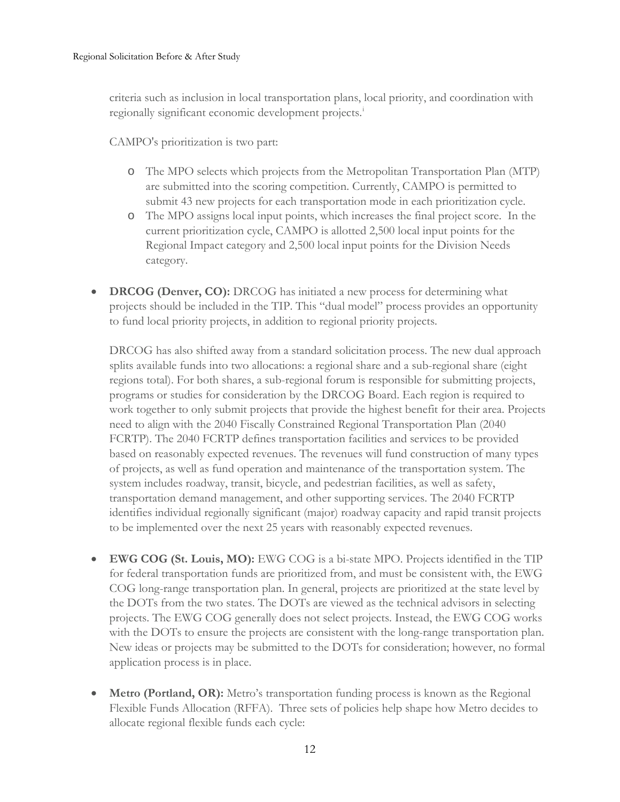criteria such as inclusion in local transportation plans, local priority, and coordination with reg[i](#page-34-0)onally significant economic development projects.<sup>i</sup>

CAMPO's prioritization is two part:

- o The MPO selects which projects from the Metropolitan Transportation Plan (MTP) are submitted into the scoring competition. Currently, CAMPO is permitted to submit 43 new projects for each transportation mode in each prioritization cycle.
- o The MPO assigns local input points, which increases the final project score. In the current prioritization cycle, CAMPO is allotted 2,500 local input points for the Regional Impact category and 2,500 local input points for the Division Needs category.
- **DRCOG (Denver, CO):** DRCOG has initiated a new process for determining what projects should be included in the TIP. This "dual model" process provides an opportunity to fund local priority projects, in addition to regional priority projects.

DRCOG has also shifted away from a standard solicitation process. The new dual approach splits available funds into two allocations: a regional share and a sub-regional share (eight regions total). For both shares, a sub-regional forum is responsible for submitting projects, programs or studies for consideration by the DRCOG Board. Each region is required to work together to only submit projects that provide the highest benefit for their area. Projects need to align with the 2040 Fiscally Constrained Regional Transportation Plan (2040 FCRTP). The 2040 FCRTP defines transportation facilities and services to be provided based on reasonably expected revenues. The revenues will fund construction of many types of projects, as well as fund operation and maintenance of the transportation system. The system includes roadway, transit, bicycle, and pedestrian facilities, as well as safety, transportation demand management, and other supporting services. The 2040 FCRTP identifies individual regionally significant (major) roadway capacity and rapid transit projects to be implemented over the next 25 years with reasonably expected revenues.

- **EWG COG (St. Louis, MO):** EWG COG is a bi-state MPO. Projects identified in the TIP for federal transportation funds are prioritized from, and must be consistent with, the EWG COG [long-range transportation plan.](https://www.ewgateway.org/wp-content/uploads/2017/07/Connected2045_1.pdf) In general, projects are prioritized at the state level by the DOTs from the two states. The DOTs are viewed as the technical advisors in selecting projects. The EWG COG generally does not select projects. Instead, the EWG COG works with the DOTs to ensure the projects are consistent with the long-range transportation plan. New ideas or projects may be submitted to the DOTs for consideration; however, no formal application process is in place.
- **Metro (Portland, OR):** Metro's transportation funding process is known as the Regional Flexible Funds Allocation (RFFA). Three sets of policies help shape how Metro decides to allocate regional flexible funds each cycle: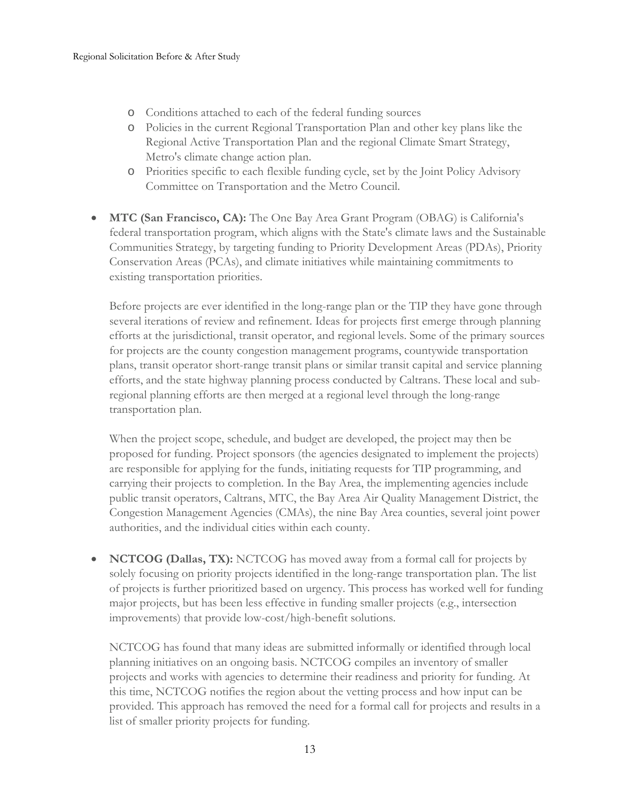- o Conditions attached to each of the federal funding sources
- o Policies in the current Regional Transportation Plan and other key plans like the Regional Active Transportation Plan and the regional Climate Smart Strategy, Metro's climate change action plan.
- o Priorities specific to each flexible funding cycle, set by the Joint Policy Advisory Committee on Transportation and the Metro Council.
- **MTC (San Francisco, CA):** The One Bay Area Grant Program (OBAG) is California's federal transportation program, which aligns with the State's climate laws and the Sustainable Communities Strategy, by targeting funding to Priority Development Areas (PDAs), Priority Conservation Areas (PCAs), and climate initiatives while maintaining commitments to existing transportation priorities.

Before projects are ever identified in the long-range plan or the TIP they have gone through several iterations of review and refinement. Ideas for projects first emerge through planning efforts at the jurisdictional, transit operator, and regional levels. Some of the primary sources for projects are the county congestion management programs, countywide transportation plans, transit operator short-range transit plans or similar transit capital and service planning efforts, and the state highway planning process conducted by Caltrans. These local and subregional planning efforts are then merged at a regional level through the long-range transportation plan.

When the project scope, schedule, and budget are developed, the project may then be proposed for funding. Project sponsors (the agencies designated to implement the projects) are responsible for applying for the funds, initiating requests for TIP programming, and carrying their projects to completion. In the Bay Area, the implementing agencies include public transit operators, Caltrans, MTC, the Bay Area Air Quality Management District, the Congestion Management Agencies (CMAs), the nine Bay Area counties, several joint power authorities, and the individual cities within each county.

• **NCTCOG (Dallas, TX):** NCTCOG has moved away from a formal call for projects by solely focusing on priority projects identified in the long-range transportation plan. The list of projects is further prioritized based on urgency. This process has worked well for funding major projects, but has been less effective in funding smaller projects (e.g., intersection improvements) that provide low-cost/high-benefit solutions.

NCTCOG has found that many ideas are submitted informally or identified through local planning initiatives on an ongoing basis. NCTCOG compiles an inventory of smaller projects and works with agencies to determine their readiness and priority for funding. At this time, NCTCOG notifies the region about the vetting process and how input can be provided. This approach has removed the need for a formal call for projects and results in a list of smaller priority projects for funding.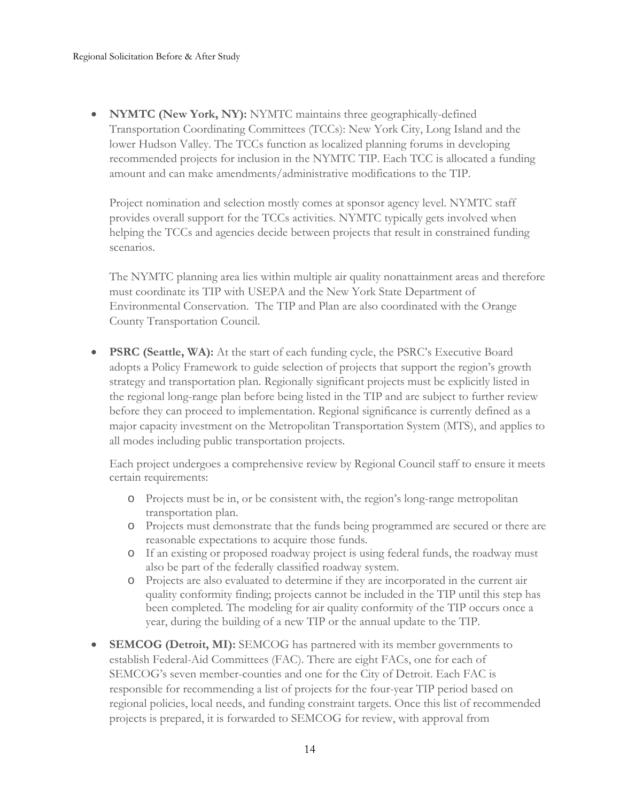• **NYMTC (New York, NY):** NYMTC maintains three geographically-defined Transportation Coordinating Committees (TCCs): New York City, Long Island and the lower Hudson Valley. The TCCs function as localized planning forums in developing recommended projects for inclusion in the NYMTC TIP. Each TCC is allocated a funding amount and can make amendments/administrative modifications to the TIP.

Project nomination and selection mostly comes at sponsor agency level. NYMTC staff provides overall support for the TCCs activities. NYMTC typically gets involved when helping the TCCs and agencies decide between projects that result in constrained funding scenarios.

The NYMTC planning area lies within multiple air quality nonattainment areas and therefore must coordinate its TIP with USEPA and the New York State Department of Environmental Conservation. The TIP and Plan are also coordinated with the Orange County Transportation Council.

• **PSRC (Seattle, WA):** At the start of each funding cycle, the PSRC's Executive Board adopts a Policy Framework to guide selection of projects that support the region's growth strategy and transportation plan. Regionally significant projects must be explicitly listed in the regional long-range plan before being listed in the TIP and are subject to further review before they can proceed to implementation. Regional significance is currently defined as a major capacity investment on the Metropolitan Transportation System (MTS), and applies to all modes including public transportation projects.

Each project undergoes a comprehensive review by Regional Council staff to ensure it meets certain requirements:

- o Projects must be in, or be consistent with, the region's long-range metropolitan transportation plan.
- o Projects must demonstrate that the funds being programmed are secured or there are reasonable expectations to acquire those funds.
- o If an existing or proposed roadway project is using federal funds, the roadway must also be part of the federally classified roadway system.
- o Projects are also evaluated to determine if they are incorporated in the current air quality conformity finding; projects cannot be included in the TIP until this step has been completed. The modeling for air quality conformity of the TIP occurs once a year, during the building of a new TIP or the annual update to the TIP.
- **SEMCOG (Detroit, MI):** SEMCOG has partnered with its member governments to establish Federal-Aid Committees (FAC). There are eight FACs, one for each of SEMCOG's seven member-counties and one for the City of Detroit. Each FAC is responsible for recommending a list of projects for the four-year TIP period based on regional policies, local needs, and funding constraint targets. Once this list of recommended projects is prepared, it is forwarded to SEMCOG for review, with approval from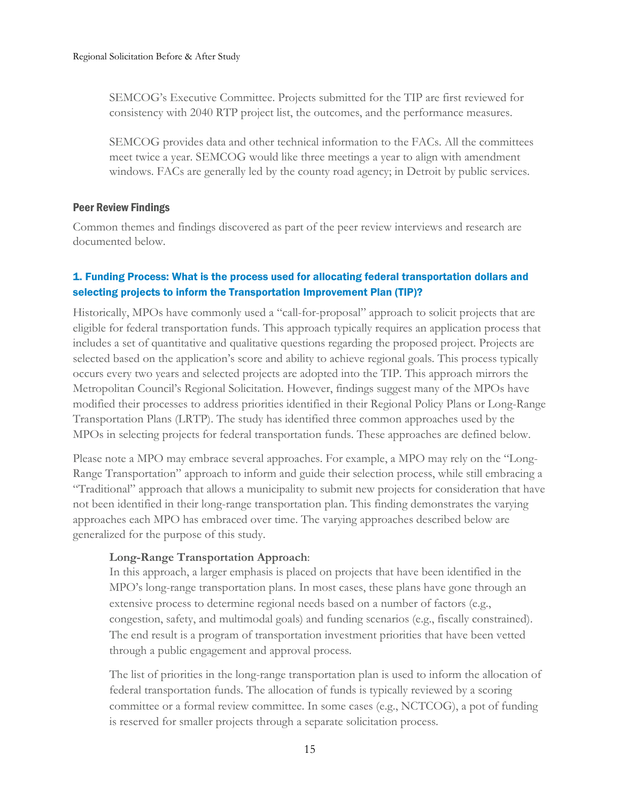SEMCOG's Executive Committee. Projects submitted for the TIP are first reviewed for consistency with 2040 RTP project list, the outcomes, and the performance measures.

SEMCOG provides data and other technical information to the FACs. All the committees meet twice a year. SEMCOG would like three meetings a year to align with amendment windows. FACs are generally led by the county road agency; in Detroit by public services.

# <span id="page-14-0"></span>Peer Review Findings

Common themes and findings discovered as part of the peer review interviews and research are documented below.

# 1. Funding Process: What is the process used for allocating federal transportation dollars and selecting projects to inform the Transportation Improvement Plan (TIP)?

Historically, MPOs have commonly used a "call-for-proposal" approach to solicit projects that are eligible for federal transportation funds. This approach typically requires an application process that includes a set of quantitative and qualitative questions regarding the proposed project. Projects are selected based on the application's score and ability to achieve regional goals. This process typically occurs every two years and selected projects are adopted into the TIP. This approach mirrors the Metropolitan Council's Regional Solicitation. However, findings suggest many of the MPOs have modified their processes to address priorities identified in their Regional Policy Plans or Long-Range Transportation Plans (LRTP). The study has identified three common approaches used by the MPOs in selecting projects for federal transportation funds. These approaches are defined below.

Please note a MPO may embrace several approaches. For example, a MPO may rely on the "Long-Range Transportation" approach to inform and guide their selection process, while still embracing a "Traditional" approach that allows a municipality to submit new projects for consideration that have not been identified in their long-range transportation plan. This finding demonstrates the varying approaches each MPO has embraced over time. The varying approaches described below are generalized for the purpose of this study.

# **Long-Range Transportation Approach**:

In this approach, a larger emphasis is placed on projects that have been identified in the MPO's long-range transportation plans. In most cases, these plans have gone through an extensive process to determine regional needs based on a number of factors (e.g., congestion, safety, and multimodal goals) and funding scenarios (e.g., fiscally constrained). The end result is a program of transportation investment priorities that have been vetted through a public engagement and approval process.

The list of priorities in the long-range transportation plan is used to inform the allocation of federal transportation funds. The allocation of funds is typically reviewed by a scoring committee or a formal review committee. In some cases (e.g., NCTCOG), a pot of funding is reserved for smaller projects through a separate solicitation process.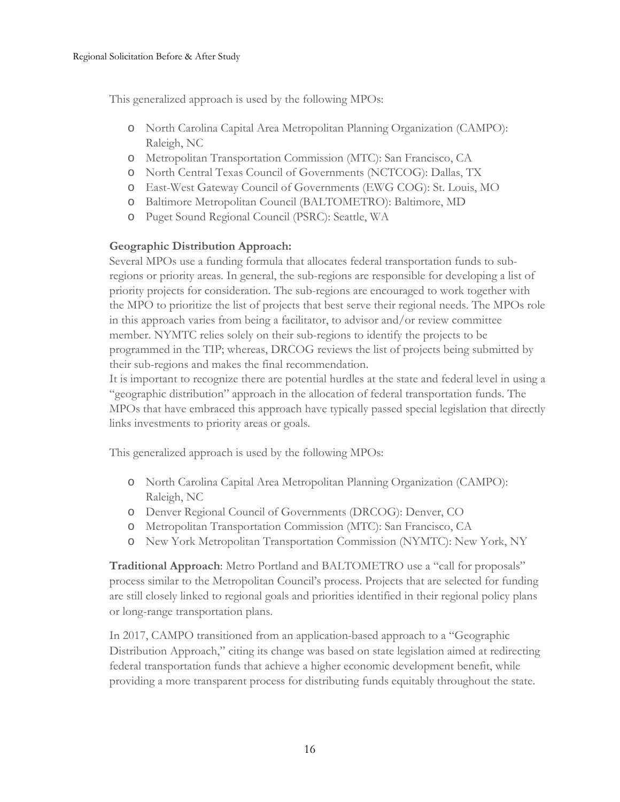This generalized approach is used by the following MPOs:

- o North Carolina Capital Area Metropolitan Planning Organization (CAMPO): Raleigh, NC
- o Metropolitan Transportation Commission (MTC): San Francisco, CA
- o North Central Texas Council of Governments (NCTCOG): Dallas, TX
- o East-West Gateway Council of Governments (EWG COG): St. Louis, MO
- o Baltimore Metropolitan Council (BALTOMETRO): Baltimore, MD
- o Puget Sound Regional Council (PSRC): Seattle, WA

# **Geographic Distribution Approach:**

Several MPOs use a funding formula that allocates federal transportation funds to subregions or priority areas. In general, the sub-regions are responsible for developing a list of priority projects for consideration. The sub-regions are encouraged to work together with the MPO to prioritize the list of projects that best serve their regional needs. The MPOs role in this approach varies from being a facilitator, to advisor and/or review committee member. NYMTC relies solely on their sub-regions to identify the projects to be programmed in the TIP; whereas, DRCOG reviews the list of projects being submitted by their sub-regions and makes the final recommendation.

It is important to recognize there are potential hurdles at the state and federal level in using a "geographic distribution" approach in the allocation of federal transportation funds. The MPOs that have embraced this approach have typically passed special legislation that directly links investments to priority areas or goals.

This generalized approach is used by the following MPOs:

- o North Carolina Capital Area Metropolitan Planning Organization (CAMPO): Raleigh, NC
- o Denver Regional Council of Governments (DRCOG): Denver, CO
- o Metropolitan Transportation Commission (MTC): San Francisco, CA
- o New York Metropolitan Transportation Commission (NYMTC): New York, NY

**Traditional Approach**: Metro Portland and BALTOMETRO use a "call for proposals" process similar to the Metropolitan Council's process. Projects that are selected for funding are still closely linked to regional goals and priorities identified in their regional policy plans or long-range transportation plans.

In 2017, CAMPO transitioned from an application-based approach to a "Geographic Distribution Approach," citing its change was based on state legislation aimed at redirecting federal transportation funds that achieve a higher economic development benefit, while providing a more transparent process for distributing funds equitably throughout the state.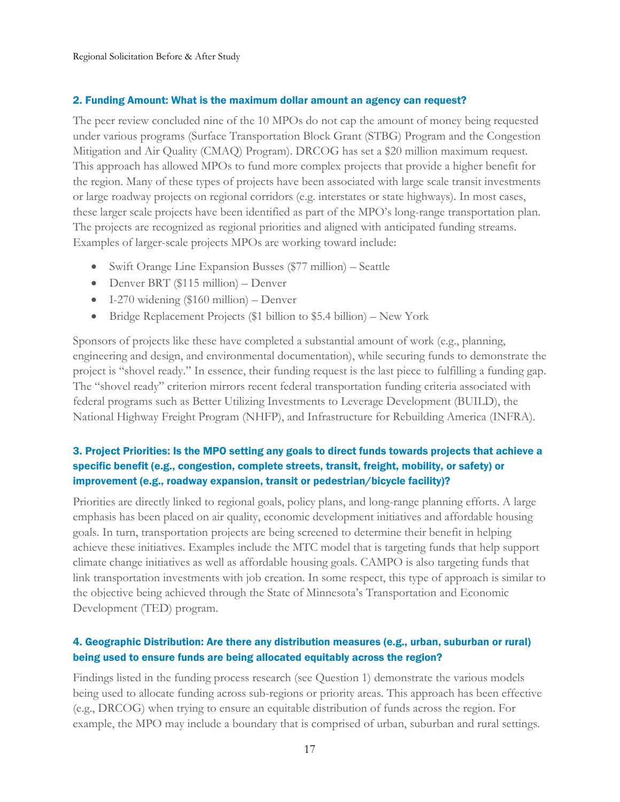### 2. Funding Amount: What is the maximum dollar amount an agency can request?

The peer review concluded nine of the 10 MPOs do not cap the amount of money being requested under various programs (Surface Transportation Block Grant (STBG) Program and the Congestion Mitigation and Air Quality (CMAQ) Program). DRCOG has set a \$20 million maximum request. This approach has allowed MPOs to fund more complex projects that provide a higher benefit for the region. Many of these types of projects have been associated with large scale transit investments or large roadway projects on regional corridors (e.g. interstates or state highways). In most cases, these larger scale projects have been identified as part of the MPO's long-range transportation plan. The projects are recognized as regional priorities and aligned with anticipated funding streams. Examples of larger-scale projects MPOs are working toward include:

- Swift Orange Line Expansion Busses (\$77 million) Seattle
- Denver BRT (\$115 million) Denver
- I-270 widening (\$160 million) Denver
- Bridge Replacement Projects (\$1 billion to \$5.4 billion) New York

Sponsors of projects like these have completed a substantial amount of work (e.g., planning, engineering and design, and environmental documentation), while securing funds to demonstrate the project is "shovel ready." In essence, their funding request is the last piece to fulfilling a funding gap. The "shovel ready" criterion mirrors recent federal transportation funding criteria associated with federal programs such as Better Utilizing Investments to Leverage Development (BUILD), the National Highway Freight Program (NHFP), and Infrastructure for Rebuilding America (INFRA).

# 3. Project Priorities: Is the MPO setting any goals to direct funds towards projects that achieve a specific benefit (e.g., congestion, complete streets, transit, freight, mobility, or safety) or improvement (e.g., roadway expansion, transit or pedestrian/bicycle facility)?

Priorities are directly linked to regional goals, policy plans, and long-range planning efforts. A large emphasis has been placed on air quality, economic development initiatives and affordable housing goals. In turn, transportation projects are being screened to determine their benefit in helping achieve these initiatives. Examples include the MTC model that is targeting funds that help support climate change initiatives as well as affordable housing goals. CAMPO is also targeting funds that link transportation investments with job creation. In some respect, this type of approach is similar to the objective being achieved through the State of Minnesota's Transportation and Economic Development (TED) program.

# 4. Geographic Distribution: Are there any distribution measures (e.g., urban, suburban or rural) being used to ensure funds are being allocated equitably across the region?

Findings listed in the funding process research (see Question 1) demonstrate the various models being used to allocate funding across sub-regions or priority areas. This approach has been effective (e.g., DRCOG) when trying to ensure an equitable distribution of funds across the region. For example, the MPO may include a boundary that is comprised of urban, suburban and rural settings.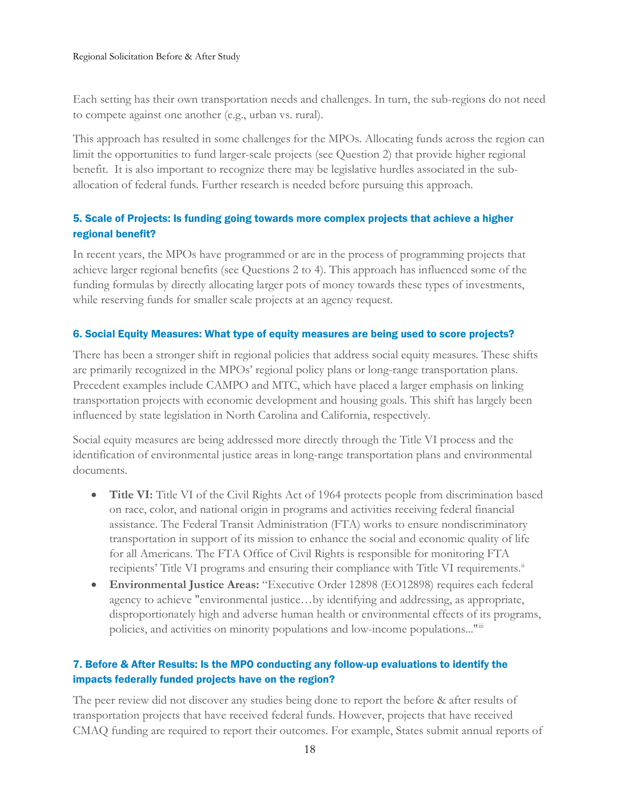Each setting has their own transportation needs and challenges. In turn, the sub-regions do not need to compete against one another (e.g., urban vs. rural).

This approach has resulted in some challenges for the MPOs. Allocating funds across the region can limit the opportunities to fund larger-scale projects (see Question 2) that provide higher regional benefit. It is also important to recognize there may be legislative hurdles associated in the suballocation of federal funds. Further research is needed before pursuing this approach.

# 5. Scale of Projects: Is funding going towards more complex projects that achieve a higher regional benefit?

In recent years, the MPOs have programmed or are in the process of programming projects that achieve larger regional benefits (see Questions 2 to 4). This approach has influenced some of the funding formulas by directly allocating larger pots of money towards these types of investments, while reserving funds for smaller scale projects at an agency request.

# 6. Social Equity Measures: What type of equity measures are being used to score projects?

There has been a stronger shift in regional policies that address social equity measures. These shifts are primarily recognized in the MPOs' regional policy plans or long-range transportation plans. Precedent examples include CAMPO and MTC, which have placed a larger emphasis on linking transportation projects with economic development and housing goals. This shift has largely been influenced by state legislation in North Carolina and California, respectively.

Social equity measures are being addressed more directly through the Title VI process and the identification of environmental justice areas in long-range transportation plans and environmental documents.

- **Title VI:** Title VI of the Civil Rights Act of 1964 protects people from discrimination based on race, color, and national origin in programs and activities receiving federal financial assistance. The Federal Transit Administration (FTA) works to ensure nondiscriminatory transportation in support of its mission to enhance the social and economic quality of life for all Americans. The FTA Office of Civil Rights is responsible for monitoring FTA recipients' Title VI programs and ensuring their compliance with Title VI requirements.<sup>[ii](#page-34-1)</sup>
- **Environmental Justice Areas:** "Executive Order 12898 (EO12898) requires each federal agency to achieve "environmental justice…by identifying and addressing, as appropriate, disproportionately high and adverse human health or environmental effects of its programs, policies, and activities on minority populations and low-income populations..."[iii](#page-34-2)

# 7. Before & After Results: Is the MPO conducting any follow-up evaluations to identify the impacts federally funded projects have on the region?

The peer review did not discover any studies being done to report the before & after results of transportation projects that have received federal funds. However, projects that have received CMAQ funding are required to report their outcomes. For example, States submit annual reports of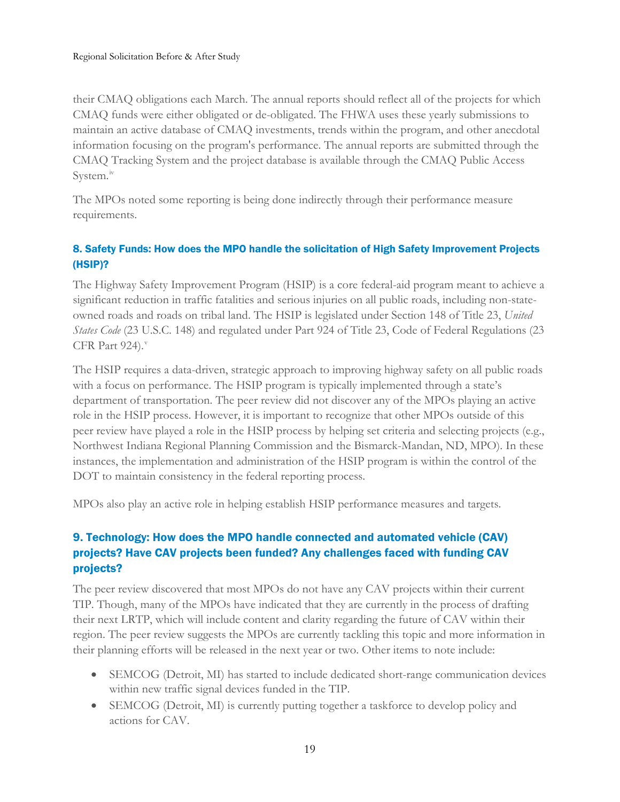their CMAQ obligations each March. The annual reports should reflect all of the projects for which CMAQ funds were either obligated or de-obligated. The FHWA uses these yearly submissions to maintain an active database of CMAQ investments, trends within the program, and other anecdotal information focusing on the program's performance. The annual reports are submitted through the CMAQ Tracking System and the project database is available through the CMAQ Public Access System.<sup>[iv](#page-34-3)</sup>

The MPOs noted some reporting is being done indirectly through their performance measure requirements.

# 8. Safety Funds: How does the MPO handle the solicitation of High Safety Improvement Projects (HSIP)?

The Highway Safety Improvement Program (HSIP) is a core federal-aid program meant to achieve a significant reduction in traffic fatalities and serious injuries on all public roads, including non-stateowned roads and roads on tribal land. The HSIP is legislated under Section 148 of Title 23, *United States Code* (23 U.S.C. 148) and regulated under Part 924 of Title 23, Code of Federal Regulations (23 CFR Part  $924$ ).

The HSIP requires a data-driven, strategic approach to improving highway safety on all public roads with a focus on performance. The HSIP program is typically implemented through a state's department of transportation. The peer review did not discover any of the MPOs playing an active role in the HSIP process. However, it is important to recognize that other MPOs outside of this peer review have played a role in the HSIP process by helping set criteria and selecting projects (e.g., Northwest Indiana Regional Planning Commission and the Bismarck-Mandan, ND, MPO). In these instances, the implementation and administration of the HSIP program is within the control of the DOT to maintain consistency in the federal reporting process.

MPOs also play an active role in helping establish HSIP performance measures and targets.

# 9. Technology: How does the MPO handle connected and automated vehicle (CAV) projects? Have CAV projects been funded? Any challenges faced with funding CAV projects?

The peer review discovered that most MPOs do not have any CAV projects within their current TIP. Though, many of the MPOs have indicated that they are currently in the process of drafting their next LRTP, which will include content and clarity regarding the future of CAV within their region. The peer review suggests the MPOs are currently tackling this topic and more information in their planning efforts will be released in the next year or two. Other items to note include:

- SEMCOG (Detroit, MI) has started to include dedicated short-range communication devices within new traffic signal devices funded in the TIP.
- SEMCOG (Detroit, MI) is currently putting together a taskforce to develop policy and actions for CAV.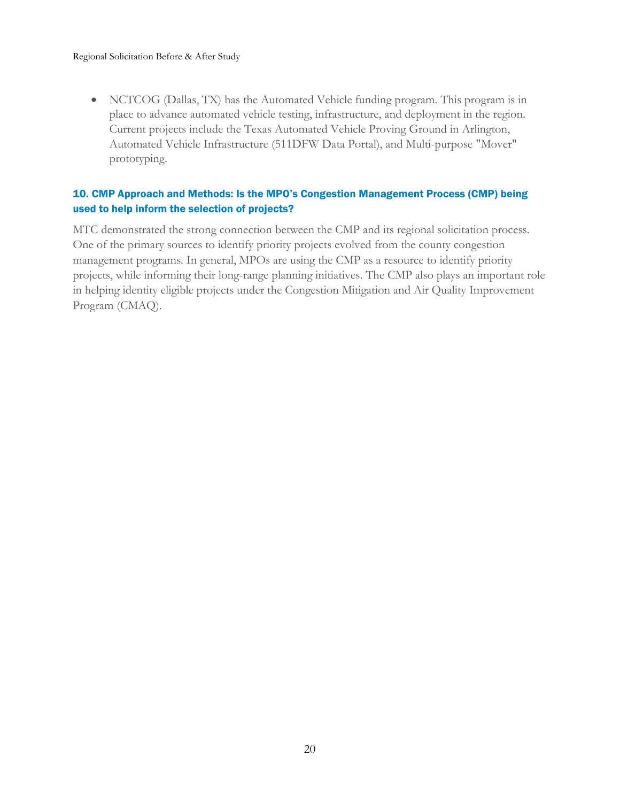• NCTCOG (Dallas, TX) has the Automated Vehicle funding program. This program is in place to advance automated vehicle testing, infrastructure, and deployment in the region. Current projects include the Texas Automated Vehicle Proving Ground in Arlington, Automated Vehicle Infrastructure (511DFW Data Portal), and Multi-purpose "Mover" prototyping.

# 10. CMP Approach and Methods: Is the MPO's Congestion Management Process (CMP) being used to help inform the selection of projects?

MTC demonstrated the strong connection between the CMP and its regional solicitation process. One of the primary sources to identify priority projects evolved from the county congestion management programs. In general, MPOs are using the CMP as a resource to identify priority projects, while informing their long-range planning initiatives. The CMP also plays an important role in helping identity eligible projects under the Congestion Mitigation and Air Quality Improvement Program (CMAQ).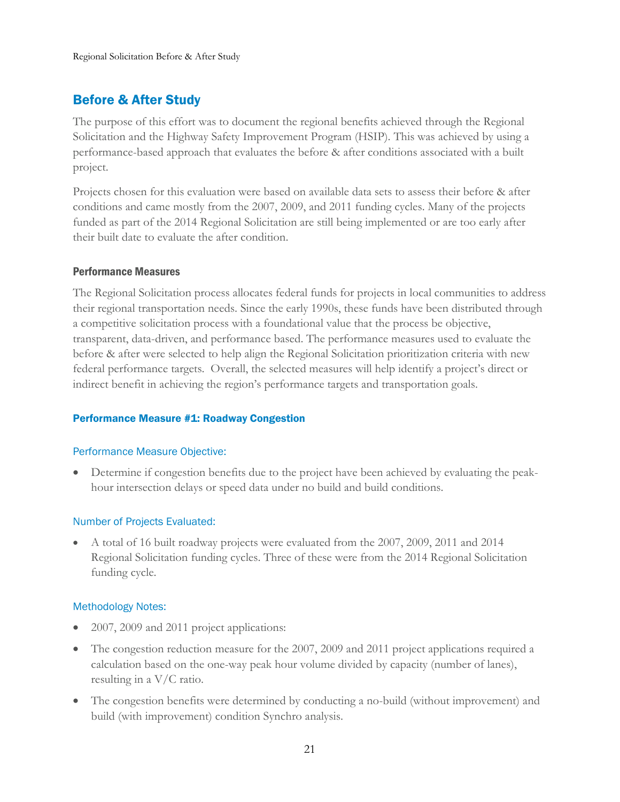# <span id="page-20-0"></span>Before & After Study

The purpose of this effort was to document the regional benefits achieved through the Regional Solicitation and the Highway Safety Improvement Program (HSIP). This was achieved by using a performance-based approach that evaluates the before & after conditions associated with a built project.

Projects chosen for this evaluation were based on available data sets to assess their before & after conditions and came mostly from the 2007, 2009, and 2011 funding cycles. Many of the projects funded as part of the 2014 Regional Solicitation are still being implemented or are too early after their built date to evaluate the after condition.

# <span id="page-20-1"></span>Performance Measures

The Regional Solicitation process allocates federal funds for projects in local communities to address their regional transportation needs. Since the early 1990s, these funds have been distributed through a competitive solicitation process with a foundational value that the process be objective, transparent, data-driven, and performance based. The performance measures used to evaluate the before & after were selected to help align the Regional Solicitation prioritization criteria with new federal performance targets. Overall, the selected measures will help identify a project's direct or indirect benefit in achieving the region's performance targets and transportation goals.

# <span id="page-20-2"></span>Performance Measure #1: Roadway Congestion

# Performance Measure Objective:

• Determine if congestion benefits due to the project have been achieved by evaluating the peakhour intersection delays or speed data under no build and build conditions.

# Number of Projects Evaluated:

• A total of 16 built roadway projects were evaluated from the 2007, 2009, 2011 and 2014 Regional Solicitation funding cycles. Three of these were from the 2014 Regional Solicitation funding cycle.

# Methodology Notes:

- 2007, 2009 and 2011 project applications:
- The congestion reduction measure for the 2007, 2009 and 2011 project applications required a calculation based on the one-way peak hour volume divided by capacity (number of lanes), resulting in a V/C ratio.
- The congestion benefits were determined by conducting a no-build (without improvement) and build (with improvement) condition Synchro analysis.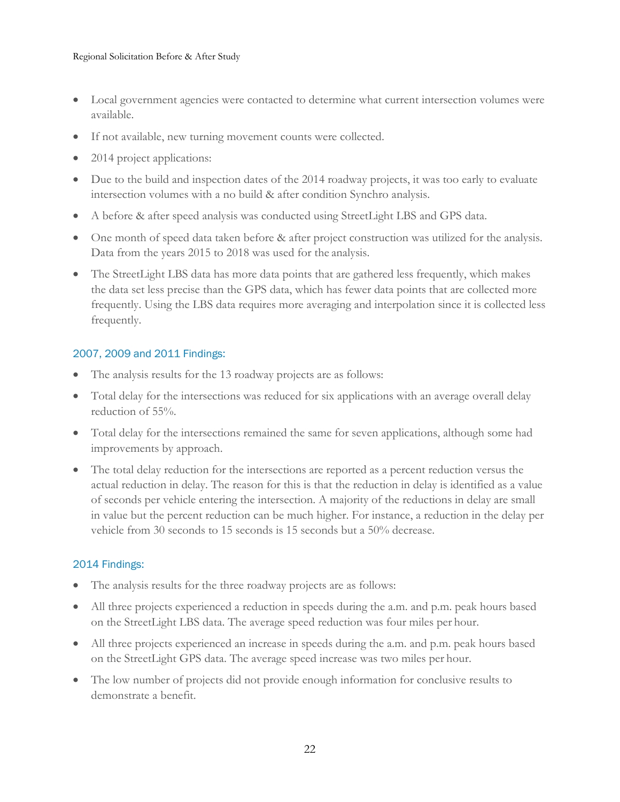- Local government agencies were contacted to determine what current intersection volumes were available.
- If not available, new turning movement counts were collected.
- 2014 project applications:
- Due to the build and inspection dates of the 2014 roadway projects, it was too early to evaluate intersection volumes with a no build & after condition Synchro analysis.
- A before & after speed analysis was conducted using StreetLight LBS and GPS data.
- One month of speed data taken before & after project construction was utilized for the analysis. Data from the years 2015 to 2018 was used for the analysis.
- The StreetLight LBS data has more data points that are gathered less frequently, which makes the data set less precise than the GPS data, which has fewer data points that are collected more frequently. Using the LBS data requires more averaging and interpolation since it is collected less frequently.

# 2007, 2009 and 2011 Findings:

- The analysis results for the 13 roadway projects are as follows:
- Total delay for the intersections was reduced for six applications with an average overall delay reduction of 55%.
- Total delay for the intersections remained the same for seven applications, although some had improvements by approach.
- The total delay reduction for the intersections are reported as a percent reduction versus the actual reduction in delay. The reason for this is that the reduction in delay is identified as a value of seconds per vehicle entering the intersection. A majority of the reductions in delay are small in value but the percent reduction can be much higher. For instance, a reduction in the delay per vehicle from 30 seconds to 15 seconds is 15 seconds but a 50% decrease.

# 2014 Findings:

- The analysis results for the three roadway projects are as follows:
- All three projects experienced a reduction in speeds during the a.m. and p.m. peak hours based on the StreetLight LBS data. The average speed reduction was four miles per hour.
- All three projects experienced an increase in speeds during the a.m. and p.m. peak hours based on the StreetLight GPS data. The average speed increase was two miles per hour.
- The low number of projects did not provide enough information for conclusive results to demonstrate a benefit.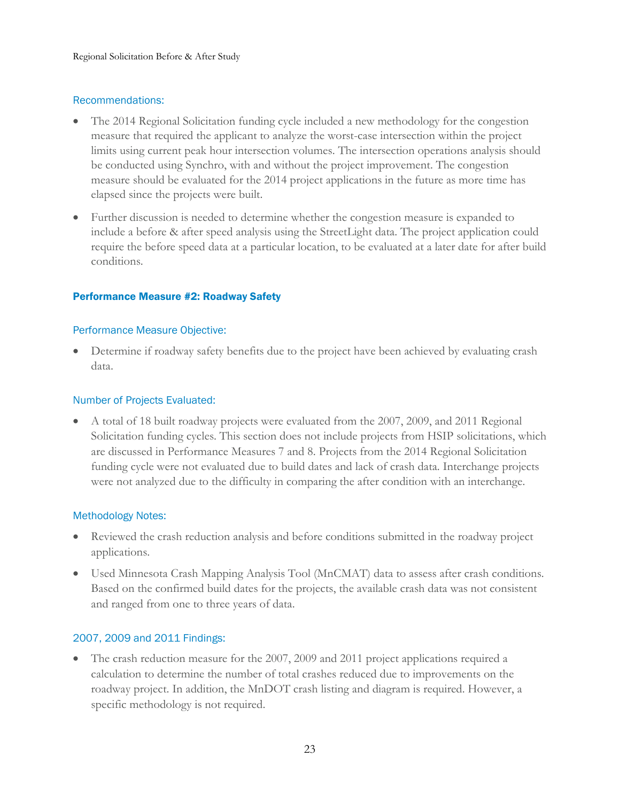### Recommendations:

- The 2014 Regional Solicitation funding cycle included a new methodology for the congestion measure that required the applicant to analyze the worst-case intersection within the project limits using current peak hour intersection volumes. The intersection operations analysis should be conducted using Synchro, with and without the project improvement. The congestion measure should be evaluated for the 2014 project applications in the future as more time has elapsed since the projects were built.
- Further discussion is needed to determine whether the congestion measure is expanded to include a before & after speed analysis using the StreetLight data. The project application could require the before speed data at a particular location, to be evaluated at a later date for after build conditions.

### <span id="page-22-0"></span>Performance Measure #2: Roadway Safety

### Performance Measure Objective:

• Determine if roadway safety benefits due to the project have been achieved by evaluating crash data.

### Number of Projects Evaluated:

• A total of 18 built roadway projects were evaluated from the 2007, 2009, and 2011 Regional Solicitation funding cycles. This section does not include projects from HSIP solicitations, which are discussed in Performance Measures 7 and 8. Projects from the 2014 Regional Solicitation funding cycle were not evaluated due to build dates and lack of crash data. Interchange projects were not analyzed due to the difficulty in comparing the after condition with an interchange.

# Methodology Notes:

- Reviewed the crash reduction analysis and before conditions submitted in the roadway project applications.
- Used Minnesota Crash Mapping Analysis Tool (MnCMAT) data to assess after crash conditions. Based on the confirmed build dates for the projects, the available crash data was not consistent and ranged from one to three years of data.

# 2007, 2009 and 2011 Findings:

• The crash reduction measure for the 2007, 2009 and 2011 project applications required a calculation to determine the number of total crashes reduced due to improvements on the roadway project. In addition, the MnDOT crash listing and diagram is required. However, a specific methodology is not required.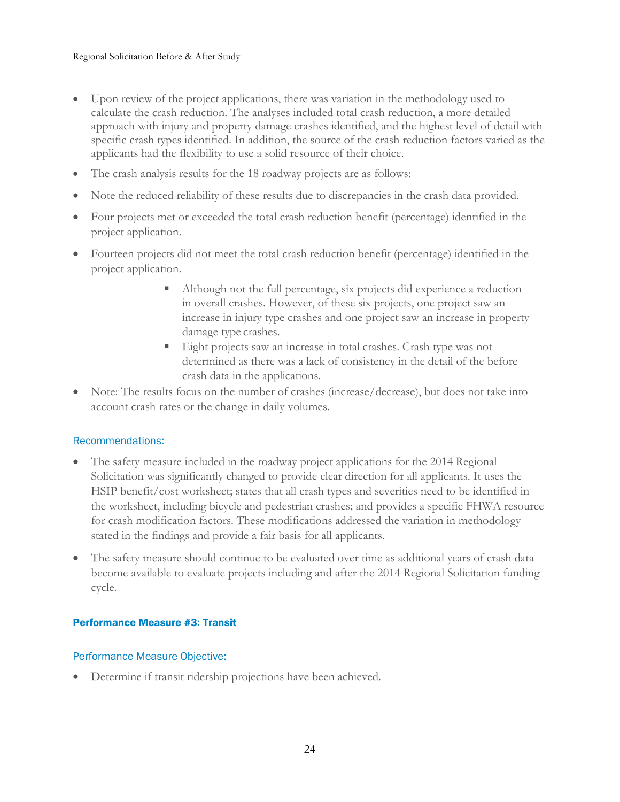- Upon review of the project applications, there was variation in the methodology used to calculate the crash reduction. The analyses included total crash reduction, a more detailed approach with injury and property damage crashes identified, and the highest level of detail with specific crash types identified. In addition, the source of the crash reduction factors varied as the applicants had the flexibility to use a solid resource of their choice.
- The crash analysis results for the 18 roadway projects are as follows:
- Note the reduced reliability of these results due to discrepancies in the crash data provided.
- Four projects met or exceeded the total crash reduction benefit (percentage) identified in the project application.
- Fourteen projects did not meet the total crash reduction benefit (percentage) identified in the project application.
	- Although not the full percentage, six projects did experience a reduction in overall crashes. However, of these six projects, one project saw an increase in injury type crashes and one project saw an increase in property damage type crashes.
	- Eight projects saw an increase in total crashes. Crash type was not determined as there was a lack of consistency in the detail of the before crash data in the applications.
- Note: The results focus on the number of crashes (increase/decrease), but does not take into account crash rates or the change in daily volumes.

### Recommendations:

- The safety measure included in the roadway project applications for the 2014 Regional Solicitation was significantly changed to provide clear direction for all applicants. It uses the HSIP benefit/cost worksheet; states that all crash types and severities need to be identified in the worksheet, including bicycle and pedestrian crashes; and provides a specific FHWA resource for crash modification factors. These modifications addressed the variation in methodology stated in the findings and provide a fair basis for all applicants.
- The safety measure should continue to be evaluated over time as additional years of crash data become available to evaluate projects including and after the 2014 Regional Solicitation funding cycle.

### <span id="page-23-0"></span>Performance Measure #3: Transit

### Performance Measure Objective:

• Determine if transit ridership projections have been achieved.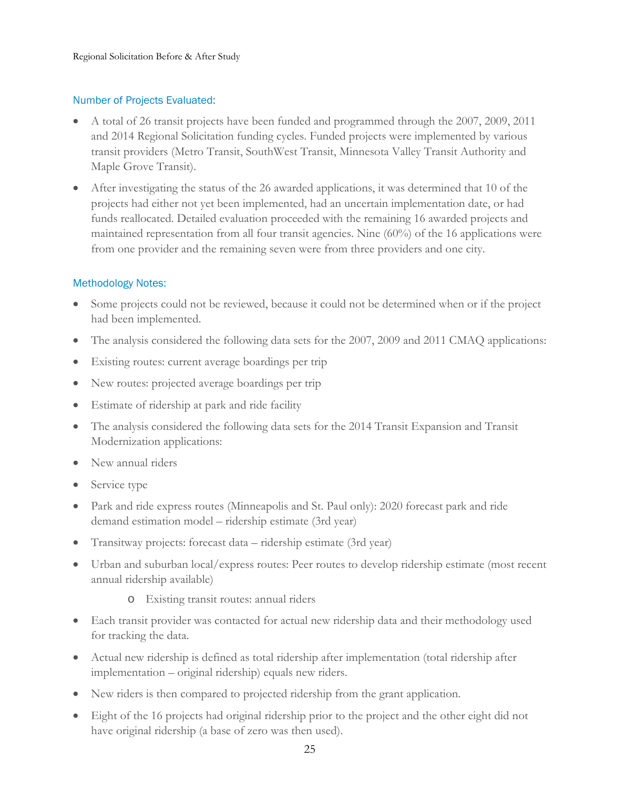# Number of Projects Evaluated:

- A total of 26 transit projects have been funded and programmed through the 2007, 2009, 2011 and 2014 Regional Solicitation funding cycles. Funded projects were implemented by various transit providers (Metro Transit, SouthWest Transit, Minnesota Valley Transit Authority and Maple Grove Transit).
- After investigating the status of the 26 awarded applications, it was determined that 10 of the projects had either not yet been implemented, had an uncertain implementation date, or had funds reallocated. Detailed evaluation proceeded with the remaining 16 awarded projects and maintained representation from all four transit agencies. Nine (60%) of the 16 applications were from one provider and the remaining seven were from three providers and one city.

### Methodology Notes:

- Some projects could not be reviewed, because it could not be determined when or if the project had been implemented.
- The analysis considered the following data sets for the 2007, 2009 and 2011 CMAQ applications:
- Existing routes: current average boardings per trip
- New routes: projected average boardings per trip
- Estimate of ridership at park and ride facility
- The analysis considered the following data sets for the 2014 Transit Expansion and Transit Modernization applications:
- New annual riders
- Service type
- Park and ride express routes (Minneapolis and St. Paul only): 2020 forecast park and ride demand estimation model – ridership estimate (3rd year)
- Transitway projects: forecast data ridership estimate (3rd year)
- Urban and suburban local/express routes: Peer routes to develop ridership estimate (most recent annual ridership available)
	- o Existing transit routes: annual riders
- Each transit provider was contacted for actual new ridership data and their methodology used for tracking the data.
- Actual new ridership is defined as total ridership after implementation (total ridership after implementation – original ridership) equals new riders.
- New riders is then compared to projected ridership from the grant application.
- Eight of the 16 projects had original ridership prior to the project and the other eight did not have original ridership (a base of zero was then used).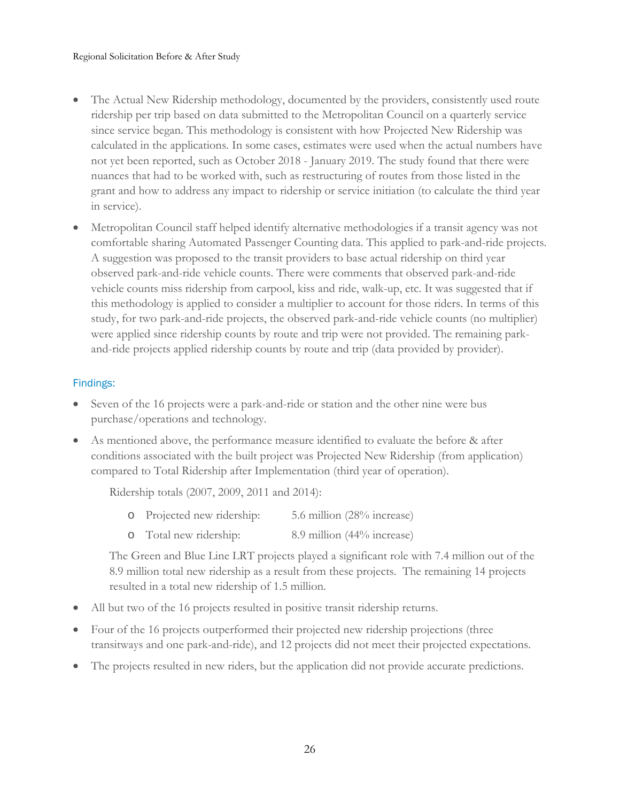- The Actual New Ridership methodology, documented by the providers, consistently used route ridership per trip based on data submitted to the Metropolitan Council on a quarterly service since service began. This methodology is consistent with how Projected New Ridership was calculated in the applications. In some cases, estimates were used when the actual numbers have not yet been reported, such as October 2018 - January 2019. The study found that there were nuances that had to be worked with, such as restructuring of routes from those listed in the grant and how to address any impact to ridership or service initiation (to calculate the third year in service).
- Metropolitan Council staff helped identify alternative methodologies if a transit agency was not comfortable sharing Automated Passenger Counting data. This applied to park-and-ride projects. A suggestion was proposed to the transit providers to base actual ridership on third year observed park-and-ride vehicle counts. There were comments that observed park-and-ride vehicle counts miss ridership from carpool, kiss and ride, walk-up, etc. It was suggested that if this methodology is applied to consider a multiplier to account for those riders. In terms of this study, for two park-and-ride projects, the observed park-and-ride vehicle counts (no multiplier) were applied since ridership counts by route and trip were not provided. The remaining parkand-ride projects applied ridership counts by route and trip (data provided by provider).

# Findings:

- Seven of the 16 projects were a park-and-ride or station and the other nine were bus purchase/operations and technology.
- As mentioned above, the performance measure identified to evaluate the before & after conditions associated with the built project was Projected New Ridership (from application) compared to Total Ridership after Implementation (third year of operation).

Ridership totals (2007, 2009, 2011 and 2014):

- o Projected new ridership: 5.6 million (28% increase)
- o Total new ridership: 8.9 million (44% increase)

The Green and Blue Line LRT projects played a significant role with 7.4 million out of the 8.9 million total new ridership as a result from these projects. The remaining 14 projects resulted in a total new ridership of 1.5 million.

- All but two of the 16 projects resulted in positive transit ridership returns.
- Four of the 16 projects outperformed their projected new ridership projections (three transitways and one park-and-ride), and 12 projects did not meet their projected expectations.
- The projects resulted in new riders, but the application did not provide accurate predictions.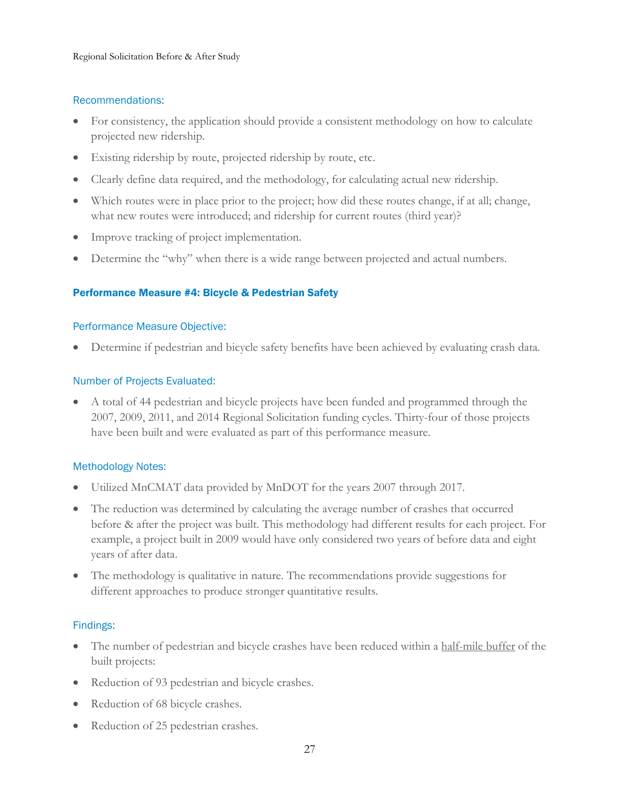### Recommendations:

- For consistency, the application should provide a consistent methodology on how to calculate projected new ridership.
- Existing ridership by route, projected ridership by route, etc.
- Clearly define data required, and the methodology, for calculating actual new ridership.
- Which routes were in place prior to the project; how did these routes change, if at all; change, what new routes were introduced; and ridership for current routes (third year)?
- Improve tracking of project implementation.
- Determine the "why" when there is a wide range between projected and actual numbers.

# <span id="page-26-0"></span>Performance Measure #4: Bicycle & Pedestrian Safety

### Performance Measure Objective:

• Determine if pedestrian and bicycle safety benefits have been achieved by evaluating crash data.

### Number of Projects Evaluated:

• A total of 44 pedestrian and bicycle projects have been funded and programmed through the 2007, 2009, 2011, and 2014 Regional Solicitation funding cycles. Thirty-four of those projects have been built and were evaluated as part of this performance measure.

### Methodology Notes:

- Utilized MnCMAT data provided by MnDOT for the years 2007 through 2017.
- The reduction was determined by calculating the average number of crashes that occurred before & after the project was built. This methodology had different results for each project. For example, a project built in 2009 would have only considered two years of before data and eight years of after data.
- The methodology is qualitative in nature. The recommendations provide suggestions for different approaches to produce stronger quantitative results.

# Findings:

- The number of pedestrian and bicycle crashes have been reduced within a half-mile buffer of the built projects:
- Reduction of 93 pedestrian and bicycle crashes.
- Reduction of 68 bicycle crashes.
- Reduction of 25 pedestrian crashes.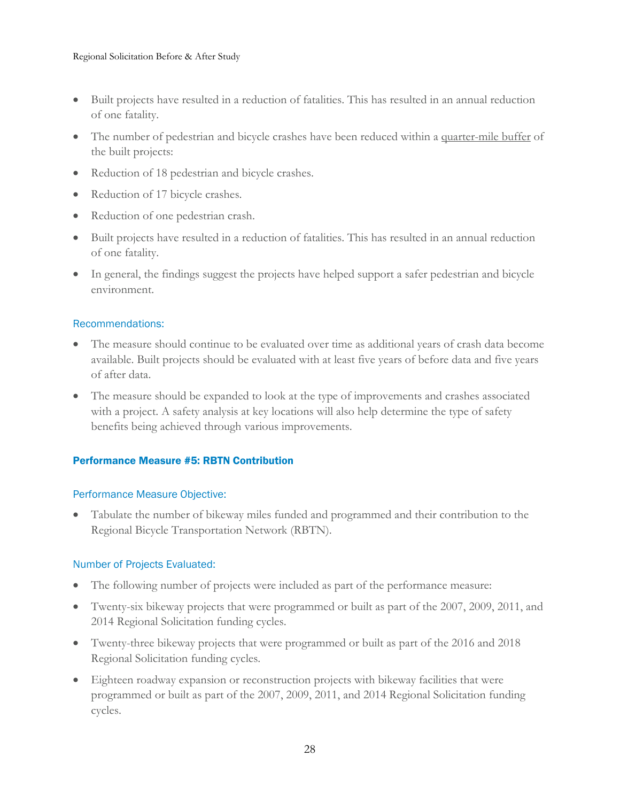- Built projects have resulted in a reduction of fatalities. This has resulted in an annual reduction of one fatality.
- The number of pedestrian and bicycle crashes have been reduced within a quarter-mile buffer of the built projects:
- Reduction of 18 pedestrian and bicycle crashes.
- Reduction of 17 bicycle crashes.
- Reduction of one pedestrian crash.
- Built projects have resulted in a reduction of fatalities. This has resulted in an annual reduction of one fatality.
- In general, the findings suggest the projects have helped support a safer pedestrian and bicycle environment.

### Recommendations:

- The measure should continue to be evaluated over time as additional years of crash data become available. Built projects should be evaluated with at least five years of before data and five years of after data.
- The measure should be expanded to look at the type of improvements and crashes associated with a project. A safety analysis at key locations will also help determine the type of safety benefits being achieved through various improvements.

# <span id="page-27-0"></span>Performance Measure #5: RBTN Contribution

### Performance Measure Objective:

• Tabulate the number of bikeway miles funded and programmed and their contribution to the Regional Bicycle Transportation Network (RBTN).

# Number of Projects Evaluated:

- The following number of projects were included as part of the performance measure:
- Twenty-six bikeway projects that were programmed or built as part of the 2007, 2009, 2011, and 2014 Regional Solicitation funding cycles.
- Twenty-three bikeway projects that were programmed or built as part of the 2016 and 2018 Regional Solicitation funding cycles.
- Eighteen roadway expansion or reconstruction projects with bikeway facilities that were programmed or built as part of the 2007, 2009, 2011, and 2014 Regional Solicitation funding cycles.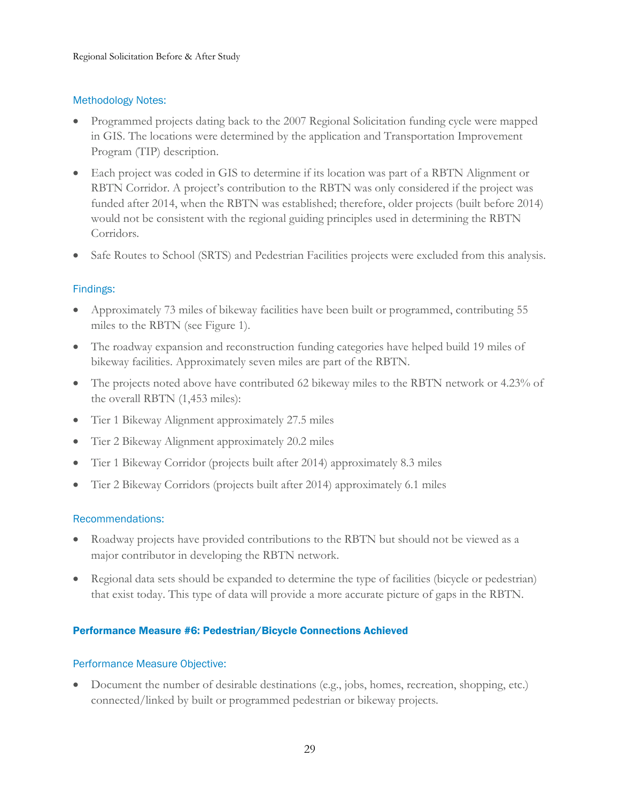# Methodology Notes:

- Programmed projects dating back to the 2007 Regional Solicitation funding cycle were mapped in GIS. The locations were determined by the application and Transportation Improvement Program (TIP) description.
- Each project was coded in GIS to determine if its location was part of a RBTN Alignment or RBTN Corridor. A project's contribution to the RBTN was only considered if the project was funded after 2014, when the RBTN was established; therefore, older projects (built before 2014) would not be consistent with the regional guiding principles used in determining the RBTN Corridors.
- Safe Routes to School (SRTS) and Pedestrian Facilities projects were excluded from this analysis.

# Findings:

- Approximately 73 miles of bikeway facilities have been built or programmed, contributing 55 miles to the RBTN (see Figure 1).
- The roadway expansion and reconstruction funding categories have helped build 19 miles of bikeway facilities. Approximately seven miles are part of the RBTN.
- The projects noted above have contributed 62 bikeway miles to the RBTN network or 4.23% of the overall RBTN (1,453 miles):
- Tier 1 Bikeway Alignment approximately 27.5 miles
- Tier 2 Bikeway Alignment approximately 20.2 miles
- Tier 1 Bikeway Corridor (projects built after 2014) approximately 8.3 miles
- Tier 2 Bikeway Corridors (projects built after 2014) approximately 6.1 miles

# Recommendations:

- Roadway projects have provided contributions to the RBTN but should not be viewed as a major contributor in developing the RBTN network.
- Regional data sets should be expanded to determine the type of facilities (bicycle or pedestrian) that exist today. This type of data will provide a more accurate picture of gaps in the RBTN.

### <span id="page-28-0"></span>Performance Measure #6: Pedestrian/Bicycle Connections Achieved

### Performance Measure Objective:

• Document the number of desirable destinations (e.g., jobs, homes, recreation, shopping, etc.) connected/linked by built or programmed pedestrian or bikeway projects.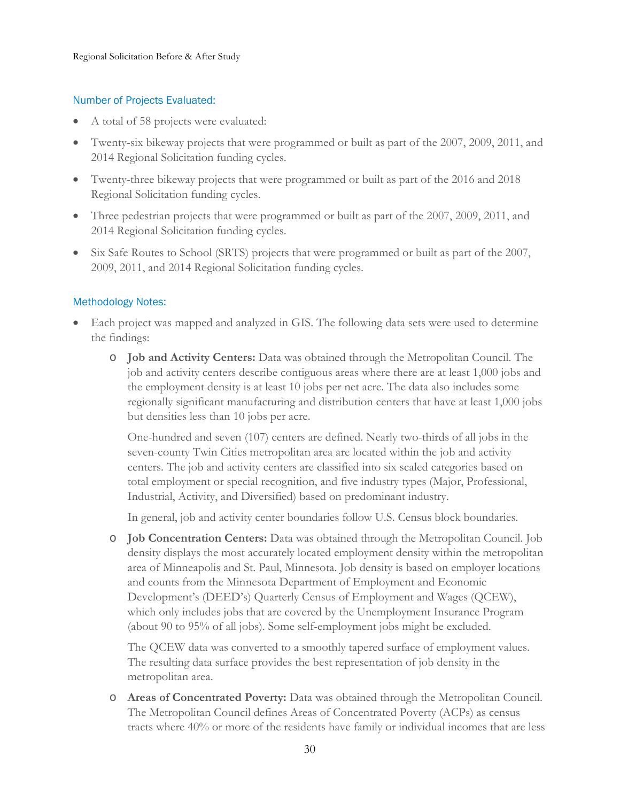### Number of Projects Evaluated:

- A total of 58 projects were evaluated:
- Twenty-six bikeway projects that were programmed or built as part of the 2007, 2009, 2011, and 2014 Regional Solicitation funding cycles.
- Twenty-three bikeway projects that were programmed or built as part of the 2016 and 2018 Regional Solicitation funding cycles.
- Three pedestrian projects that were programmed or built as part of the 2007, 2009, 2011, and 2014 Regional Solicitation funding cycles.
- Six Safe Routes to School (SRTS) projects that were programmed or built as part of the 2007, 2009, 2011, and 2014 Regional Solicitation funding cycles.

# Methodology Notes:

- Each project was mapped and analyzed in GIS. The following data sets were used to determine the findings:
	- o **Job and Activity Centers:** Data was obtained through the Metropolitan Council. The job and activity centers describe contiguous areas where there are at least 1,000 jobs and the employment density is at least 10 jobs per net acre. The data also includes some regionally significant manufacturing and distribution centers that have at least 1,000 jobs but densities less than 10 jobs per acre.

One-hundred and seven (107) centers are defined. Nearly two-thirds of all jobs in the seven-county Twin Cities metropolitan area are located within the job and activity centers. The job and activity centers are classified into six scaled categories based on total employment or special recognition, and five industry types (Major, Professional, Industrial, Activity, and Diversified) based on predominant industry.

In general, job and activity center boundaries follow U.S. Census block boundaries.

o **Job Concentration Centers:** Data was obtained through the Metropolitan Council. Job density displays the most accurately located employment density within the metropolitan area of Minneapolis and St. Paul, Minnesota. Job density is based on employer locations and counts from the Minnesota Department of Employment and Economic Development's (DEED's) Quarterly Census of Employment and Wages (QCEW), which only includes jobs that are covered by the Unemployment Insurance Program (about 90 to 95% of all jobs). Some self-employment jobs might be excluded.

The QCEW data was converted to a smoothly tapered surface of employment values. The resulting data surface provides the best representation of job density in the metropolitan area.

o **Areas of Concentrated Poverty:** Data was obtained through the Metropolitan Council. The Metropolitan Council defines Areas of Concentrated Poverty (ACPs) as census tracts where 40% or more of the residents have family or individual incomes that are less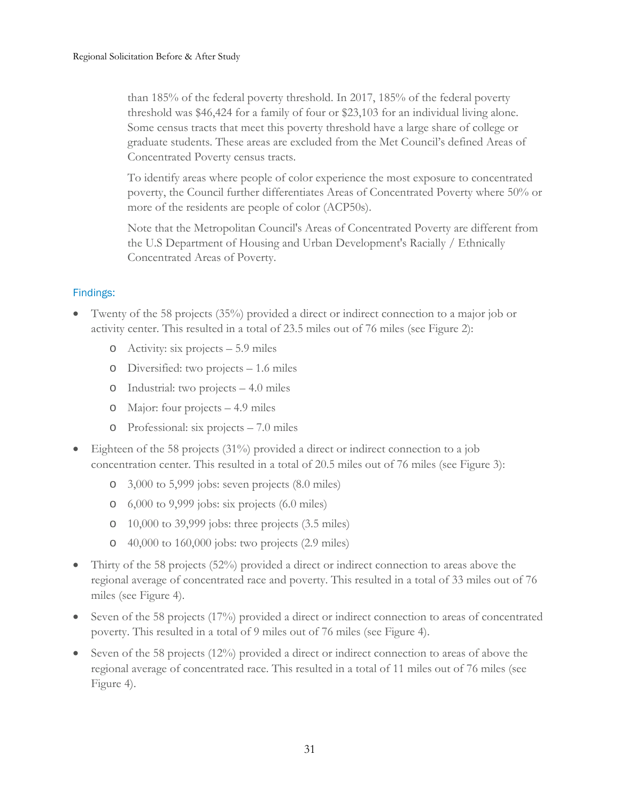than 185% of the federal poverty threshold. In 2017, 185% of the federal poverty threshold was \$46,424 for a family of four or \$23,103 for an individual living alone. Some census tracts that meet this poverty threshold have a large share of college or graduate students. These areas are excluded from the Met Council's defined Areas of Concentrated Poverty census tracts.

To identify areas where people of color experience the most exposure to concentrated poverty, the Council further differentiates Areas of Concentrated Poverty where 50% or more of the residents are people of color (ACP50s).

Note that the Metropolitan Council's Areas of Concentrated Poverty are different from the U.S Department of Housing and Urban Development's Racially / Ethnically Concentrated Areas of Poverty.

# Findings:

- Twenty of the 58 projects (35%) provided a direct or indirect connection to a major job or activity center. This resulted in a total of 23.5 miles out of 76 miles (see Figure 2):
	- o Activity: six projects 5.9 miles
	- o Diversified: two projects 1.6 miles
	- o Industrial: two projects 4.0 miles
	- o Major: four projects 4.9 miles
	- o Professional: six projects 7.0 miles
- Eighteen of the 58 projects (31%) provided a direct or indirect connection to a job concentration center. This resulted in a total of 20.5 miles out of 76 miles (see Figure 3):
	- o 3,000 to 5,999 jobs: seven projects (8.0 miles)
	- o 6,000 to 9,999 jobs: six projects (6.0 miles)
	- o 10,000 to 39,999 jobs: three projects (3.5 miles)
	- o 40,000 to 160,000 jobs: two projects (2.9 miles)
- Thirty of the 58 projects (52%) provided a direct or indirect connection to areas above the regional average of concentrated race and poverty. This resulted in a total of 33 miles out of 76 miles (see Figure 4).
- Seven of the 58 projects (17%) provided a direct or indirect connection to areas of concentrated poverty. This resulted in a total of 9 miles out of 76 miles (see Figure 4).
- Seven of the 58 projects (12%) provided a direct or indirect connection to areas of above the regional average of concentrated race. This resulted in a total of 11 miles out of 76 miles (see Figure 4).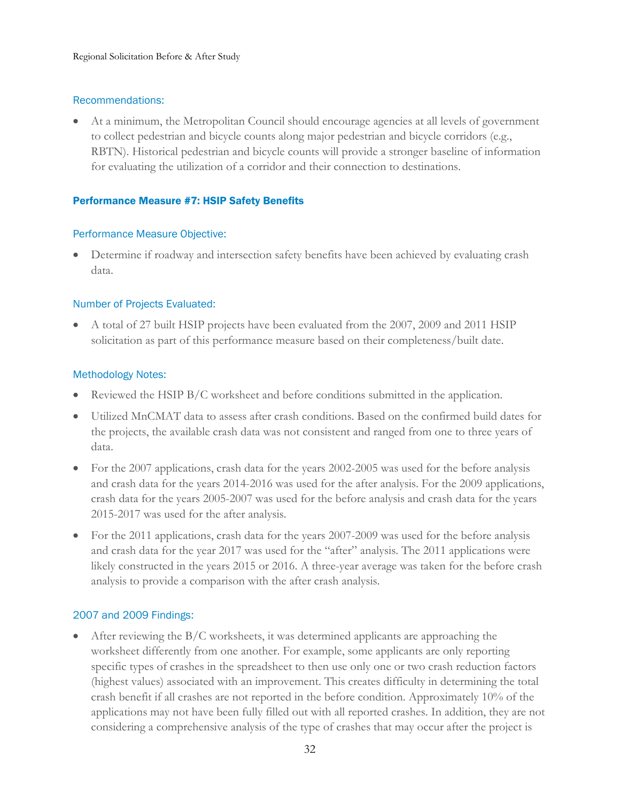### Recommendations:

• At a minimum, the Metropolitan Council should encourage agencies at all levels of government to collect pedestrian and bicycle counts along major pedestrian and bicycle corridors (e.g., RBTN). Historical pedestrian and bicycle counts will provide a stronger baseline of information for evaluating the utilization of a corridor and their connection to destinations.

### <span id="page-31-0"></span>Performance Measure #7: HSIP Safety Benefits

### Performance Measure Objective:

• Determine if roadway and intersection safety benefits have been achieved by evaluating crash data.

# Number of Projects Evaluated:

• A total of 27 built HSIP projects have been evaluated from the 2007, 2009 and 2011 HSIP solicitation as part of this performance measure based on their completeness/built date.

### Methodology Notes:

- Reviewed the HSIP B/C worksheet and before conditions submitted in the application.
- Utilized MnCMAT data to assess after crash conditions. Based on the confirmed build dates for the projects, the available crash data was not consistent and ranged from one to three years of data.
- For the 2007 applications, crash data for the years 2002-2005 was used for the before analysis and crash data for the years 2014-2016 was used for the after analysis. For the 2009 applications, crash data for the years 2005-2007 was used for the before analysis and crash data for the years 2015-2017 was used for the after analysis.
- For the 2011 applications, crash data for the years 2007-2009 was used for the before analysis and crash data for the year 2017 was used for the "after" analysis. The 2011 applications were likely constructed in the years 2015 or 2016. A three-year average was taken for the before crash analysis to provide a comparison with the after crash analysis.

# 2007 and 2009 Findings:

• After reviewing the  $B/C$  worksheets, it was determined applicants are approaching the worksheet differently from one another. For example, some applicants are only reporting specific types of crashes in the spreadsheet to then use only one or two crash reduction factors (highest values) associated with an improvement. This creates difficulty in determining the total crash benefit if all crashes are not reported in the before condition. Approximately 10% of the applications may not have been fully filled out with all reported crashes. In addition, they are not considering a comprehensive analysis of the type of crashes that may occur after the project is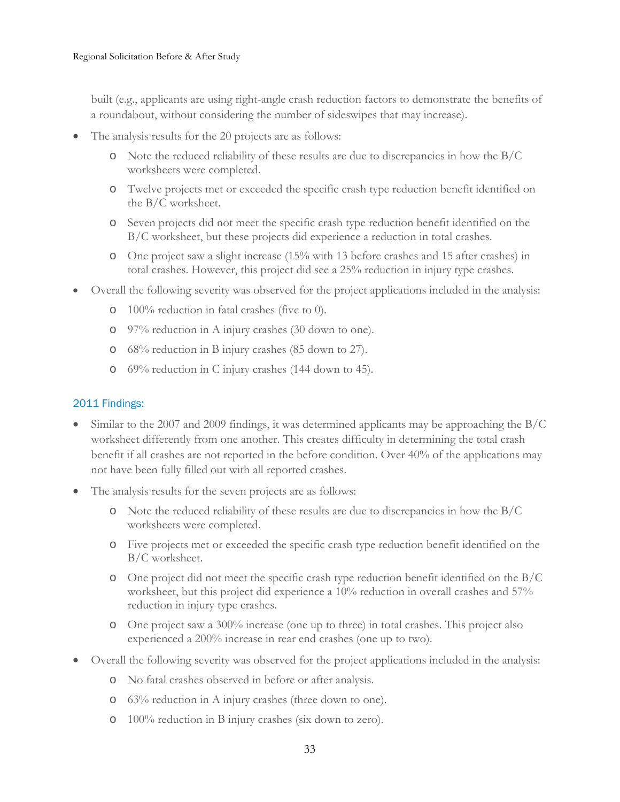built (e.g., applicants are using right-angle crash reduction factors to demonstrate the benefits of a roundabout, without considering the number of sideswipes that may increase).

- The analysis results for the 20 projects are as follows:
	- o Note the reduced reliability of these results are due to discrepancies in how the B/C worksheets were completed.
	- o Twelve projects met or exceeded the specific crash type reduction benefit identified on the B/C worksheet.
	- o Seven projects did not meet the specific crash type reduction benefit identified on the B/C worksheet, but these projects did experience a reduction in total crashes.
	- o One project saw a slight increase (15% with 13 before crashes and 15 after crashes) in total crashes. However, this project did see a 25% reduction in injury type crashes.
- Overall the following severity was observed for the project applications included in the analysis:
	- o 100% reduction in fatal crashes (five to 0).
	- o 97% reduction in A injury crashes (30 down to one).
	- o 68% reduction in B injury crashes (85 down to 27).
	- o 69% reduction in C injury crashes (144 down to 45).

### 2011 Findings:

- Similar to the 2007 and 2009 findings, it was determined applicants may be approaching the B/C worksheet differently from one another. This creates difficulty in determining the total crash benefit if all crashes are not reported in the before condition. Over 40% of the applications may not have been fully filled out with all reported crashes.
- The analysis results for the seven projects are as follows:
	- o Note the reduced reliability of these results are due to discrepancies in how the B/C worksheets were completed.
	- o Five projects met or exceeded the specific crash type reduction benefit identified on the B/C worksheet.
	- $\circ$  One project did not meet the specific crash type reduction benefit identified on the B/C worksheet, but this project did experience a 10% reduction in overall crashes and 57% reduction in injury type crashes.
	- o One project saw a 300% increase (one up to three) in total crashes. This project also experienced a 200% increase in rear end crashes (one up to two).
- Overall the following severity was observed for the project applications included in the analysis:
	- o No fatal crashes observed in before or after analysis.
	- o 63% reduction in A injury crashes (three down to one).
	- o 100% reduction in B injury crashes (six down to zero).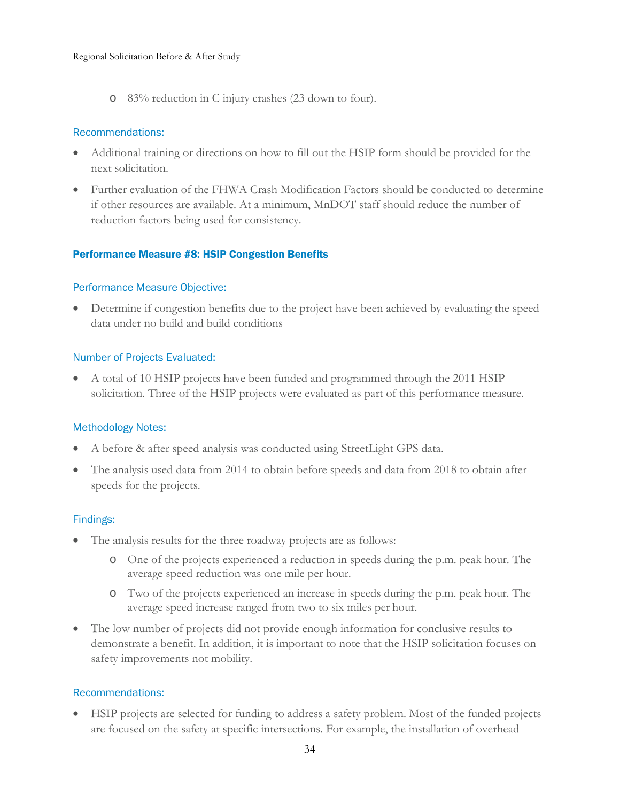o 83% reduction in C injury crashes (23 down to four).

### Recommendations:

- Additional training or directions on how to fill out the HSIP form should be provided for the next solicitation.
- Further evaluation of the FHWA Crash Modification Factors should be conducted to determine if other resources are available. At a minimum, MnDOT staff should reduce the number of reduction factors being used for consistency.

# <span id="page-33-0"></span>Performance Measure #8: HSIP Congestion Benefits

# Performance Measure Objective:

• Determine if congestion benefits due to the project have been achieved by evaluating the speed data under no build and build conditions

### Number of Projects Evaluated:

• A total of 10 HSIP projects have been funded and programmed through the 2011 HSIP solicitation. Three of the HSIP projects were evaluated as part of this performance measure.

# Methodology Notes:

- A before & after speed analysis was conducted using StreetLight GPS data.
- The analysis used data from 2014 to obtain before speeds and data from 2018 to obtain after speeds for the projects.

### Findings:

- The analysis results for the three roadway projects are as follows:
	- o One of the projects experienced a reduction in speeds during the p.m. peak hour. The average speed reduction was one mile per hour.
	- o Two of the projects experienced an increase in speeds during the p.m. peak hour. The average speed increase ranged from two to six miles per hour.
- The low number of projects did not provide enough information for conclusive results to demonstrate a benefit. In addition, it is important to note that the HSIP solicitation focuses on safety improvements not mobility.

# Recommendations:

• HSIP projects are selected for funding to address a safety problem. Most of the funded projects are focused on the safety at specific intersections. For example, the installation of overhead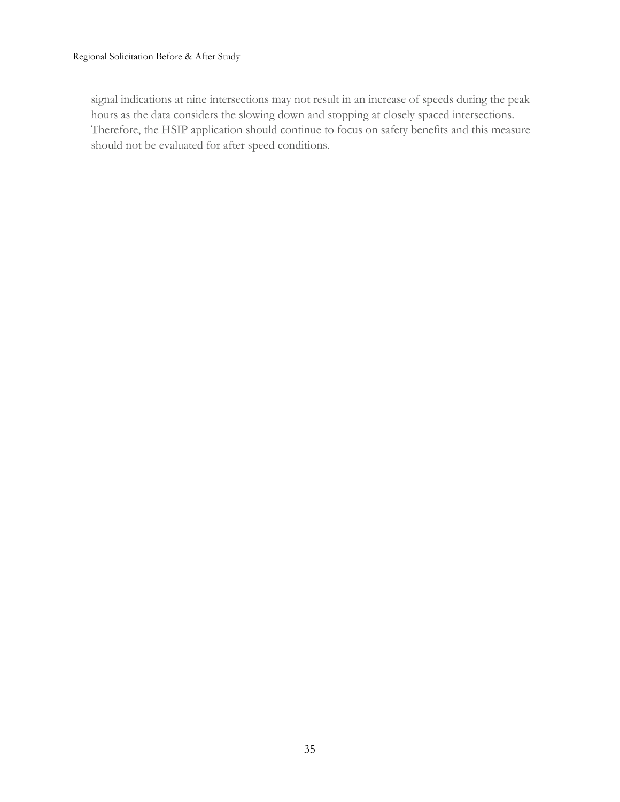<span id="page-34-4"></span><span id="page-34-3"></span><span id="page-34-2"></span><span id="page-34-1"></span><span id="page-34-0"></span>signal indications at nine intersections may not result in an increase of speeds during the peak hours as the data considers the slowing down and stopping at closely spaced intersections. Therefore, the HSIP application should continue to focus on safety benefits and this measure should not be evaluated for after speed conditions.